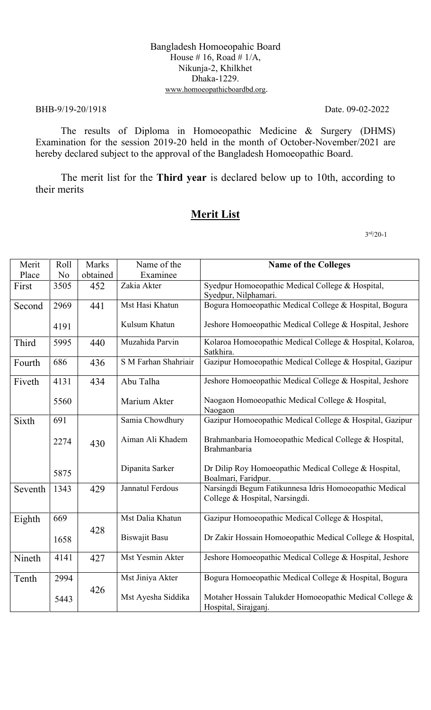### Bangladesh Homoeopahic Board House # 16, Road #  $1/A$ , Nikunja-2, Khilkhet Dhaka-1229. www.homoeopathicboardbd.org.

### BHB-9/19-20/1918 Date. 09-02-2022

The results of Diploma in Homoeopathic Medicine & Surgery (DHMS) Examination for the session 2019-20 held in the month of October-November/2021 are hereby declared subject to the approval of the Bangladesh Homoeopathic Board.

The merit list for the **Third year** is declared below up to 10th, according to their merits

# **Merit List**

 3  $3<sup>rd</sup>/20-1$ 

| Merit   | Roll           | Marks    | Name of the          | <b>Name of the Colleges</b>                                                              |
|---------|----------------|----------|----------------------|------------------------------------------------------------------------------------------|
| Place   | N <sub>o</sub> | obtained | Examinee             |                                                                                          |
| First   | 3505           | 452      | Zakia Akter          | Syedpur Homoeopathic Medical College & Hospital,                                         |
|         |                |          |                      | Syedpur, Nilphamari.                                                                     |
| Second  | 2969           | 441      | Mst Hasi Khatun      | Bogura Homoeopathic Medical College & Hospital, Bogura                                   |
|         |                |          |                      |                                                                                          |
|         | 4191           |          | Kulsum Khatun        | Jeshore Homoeopathic Medical College & Hospital, Jeshore                                 |
| Third   | 5995           | 440      | Muzahida Parvin      | Kolaroa Homoeopathic Medical College & Hospital, Kolaroa,<br>Satkhira.                   |
| Fourth  | 686            | 436      | S M Farhan Shahriair | Gazipur Homoeopathic Medical College & Hospital, Gazipur                                 |
| Fiveth  | 4131           | 434      | Abu Talha            | Jeshore Homoeopathic Medical College & Hospital, Jeshore                                 |
|         | 5560           |          | Marium Akter         | Naogaon Homoeopathic Medical College & Hospital,<br>Naogaon                              |
| Sixth   | 691            |          | Samia Chowdhury      | Gazipur Homoeopathic Medical College & Hospital, Gazipur                                 |
|         | 2274           | 430      | Aiman Ali Khadem     | Brahmanbaria Homoeopathic Medical College & Hospital,<br>Brahmanbaria                    |
|         | 5875           |          | Dipanita Sarker      | Dr Dilip Roy Homoeopathic Medical College & Hospital,<br>Boalmari, Faridpur.             |
| Seventh | 1343           | 429      | Jannatul Ferdous     | Narsingdi Begum Fatikunnesa Idris Homoeopathic Medical<br>College & Hospital, Narsingdi. |
| Eighth  | 669            |          | Mst Dalia Khatun     | Gazipur Homoeopathic Medical College & Hospital,                                         |
|         | 1658           | 428      | <b>Biswajit Basu</b> | Dr Zakir Hossain Homoeopathic Medical College & Hospital,                                |
| Nineth  | 4141           | 427      | Mst Yesmin Akter     | Jeshore Homoeopathic Medical College & Hospital, Jeshore                                 |
| Tenth   | 2994           |          | Mst Jiniya Akter     | Bogura Homoeopathic Medical College & Hospital, Bogura                                   |
|         | 5443           | 426      | Mst Ayesha Siddika   | Motaher Hossain Talukder Homoeopathic Medical College &<br>Hospital, Sirajganj.          |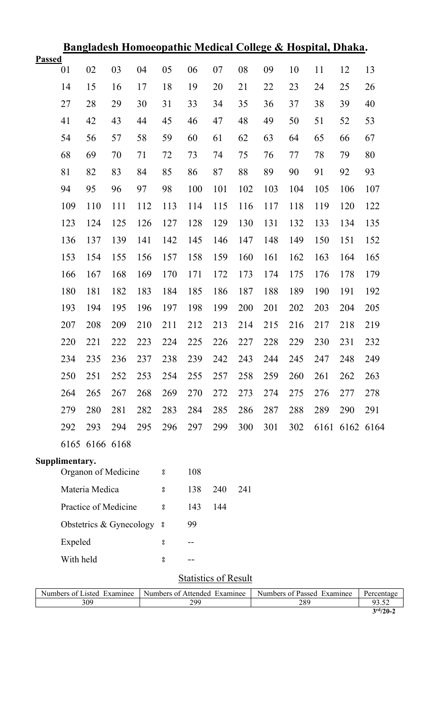| <u>Bangladesh Homoeopathic Medical College &amp; Hospital, Dhaka.</u> |                                                                                                                                       |                |                         |     |                    |     |     |     |     |     |     |                |     |
|-----------------------------------------------------------------------|---------------------------------------------------------------------------------------------------------------------------------------|----------------|-------------------------|-----|--------------------|-----|-----|-----|-----|-----|-----|----------------|-----|
| <b>Passed</b>                                                         | 01                                                                                                                                    | 02             | 03                      | 04  | 05                 | 06  | 07  | 08  | 09  | 10  | 11  | 12             | 13  |
|                                                                       | 14                                                                                                                                    | 15             | 16                      | 17  | 18                 | 19  | 20  | 21  | 22  | 23  | 24  | 25             | 26  |
|                                                                       | 27                                                                                                                                    | 28             | 29                      | 30  | 31                 | 33  | 34  | 35  | 36  | 37  | 38  | 39             | 40  |
|                                                                       | 41                                                                                                                                    | 42             | 43                      | 44  | 45                 | 46  | 47  | 48  | 49  | 50  | 51  | 52             | 53  |
|                                                                       | 54                                                                                                                                    | 56             | 57                      | 58  | 59                 | 60  | 61  | 62  | 63  | 64  | 65  | 66             | 67  |
|                                                                       | 68                                                                                                                                    | 69             | 70                      | 71  | 72                 | 73  | 74  | 75  | 76  | 77  | 78  | 79             | 80  |
|                                                                       | 81                                                                                                                                    | 82             | 83                      | 84  | 85                 | 86  | 87  | 88  | 89  | 90  | 91  | 92             | 93  |
|                                                                       | 94                                                                                                                                    | 95             | 96                      | 97  | 98                 | 100 | 101 | 102 | 103 | 104 | 105 | 106            | 107 |
|                                                                       | 109                                                                                                                                   | 110            | 111                     | 112 | 113                | 114 | 115 | 116 | 117 | 118 | 119 | 120            | 122 |
|                                                                       | 123                                                                                                                                   | 124            | 125                     | 126 | 127                | 128 | 129 | 130 | 131 | 132 | 133 | 134            | 135 |
|                                                                       | 136                                                                                                                                   | 137            | 139                     | 141 | 142                | 145 | 146 | 147 | 148 | 149 | 150 | 151            | 152 |
|                                                                       | 153                                                                                                                                   | 154            | 155                     | 156 | 157                | 158 | 159 | 160 | 161 | 162 | 163 | 164            | 165 |
|                                                                       | 166                                                                                                                                   | 167            | 168                     | 169 | 170                | 171 | 172 | 173 | 174 | 175 | 176 | 178            | 179 |
|                                                                       | 180                                                                                                                                   | 181            | 182                     | 183 | 184                | 185 | 186 | 187 | 188 | 189 | 190 | 191            | 192 |
|                                                                       | 193                                                                                                                                   | 194            | 195                     | 196 | 197                | 198 | 199 | 200 | 201 | 202 | 203 | 204            | 205 |
|                                                                       | 207                                                                                                                                   | 208            | 209                     | 210 | 211                | 212 | 213 | 214 | 215 | 216 | 217 | 218            | 219 |
|                                                                       | 220                                                                                                                                   | 221            | 222                     | 223 | 224                | 225 | 226 | 227 | 228 | 229 | 230 | 231            | 232 |
|                                                                       | 234                                                                                                                                   | 235            | 236                     | 237 | 238                | 239 | 242 | 243 | 244 | 245 | 247 | 248            | 249 |
|                                                                       | 250                                                                                                                                   | 251            | 252                     | 253 | 254                | 255 | 257 | 258 | 259 | 260 | 261 | 262            | 263 |
|                                                                       | 264                                                                                                                                   | 265            | 267                     | 268 | 269                | 270 | 272 | 273 | 274 | 275 | 276 | 277            | 278 |
|                                                                       | 279                                                                                                                                   | 280            | 281                     | 282 | 283                | 284 | 285 | 286 | 287 | 288 | 289 | 290            | 291 |
|                                                                       | 292                                                                                                                                   | 293            | 294                     | 295 | 296                | 297 | 299 | 300 | 301 | 302 |     | 6161 6162 6164 |     |
|                                                                       |                                                                                                                                       | 6165 6166 6168 |                         |     |                    |     |     |     |     |     |     |                |     |
|                                                                       | Supplimentary.                                                                                                                        |                | Organon of Medicine     |     | °                  | 108 |     |     |     |     |     |                |     |
|                                                                       |                                                                                                                                       | Materia Medica |                         |     | °                  | 138 | 240 | 241 |     |     |     |                |     |
|                                                                       |                                                                                                                                       |                | Practice of Medicine    |     | °                  | 143 | 144 |     |     |     |     |                |     |
|                                                                       |                                                                                                                                       |                | Obstetrics & Gynecology |     | °                  | 99  |     |     |     |     |     |                |     |
|                                                                       | Expeled                                                                                                                               |                |                         |     | $\rm ^o$           | --  |     |     |     |     |     |                |     |
|                                                                       | With held                                                                                                                             |                |                         |     | $^{\circ}_{\circ}$ |     |     |     |     |     |     |                |     |
|                                                                       |                                                                                                                                       |                |                         |     |                    |     |     |     |     |     |     |                |     |
|                                                                       | <b>Statistics of Result</b><br>Numbers of Listed Examinee<br>Numbers of Attended Examinee<br>Numbers of Passed Examinee<br>Percentage |                |                         |     |                    |     |     |     |     |     |     |                |     |
|                                                                       | 309<br>299<br>289<br>93.52<br>$3^{\rm rd}/20-2$                                                                                       |                |                         |     |                    |     |     |     |     |     |     |                |     |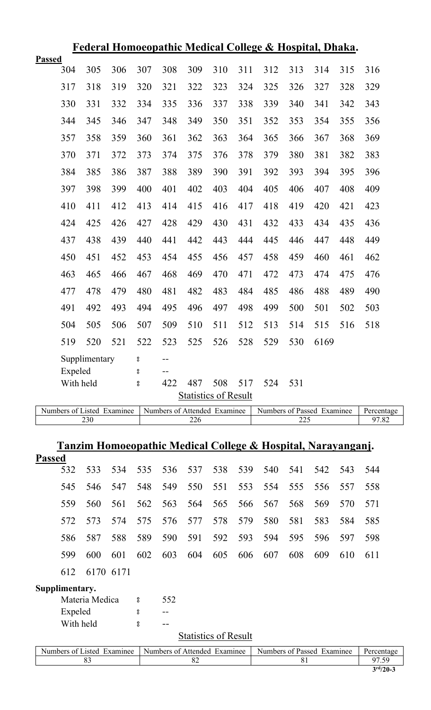|                             | <b>Federal Homoeopathic Medical College &amp; Hospital, Dhaka.</b> |               |     |     |       |     |     |     |     |     |      |     |     |  |
|-----------------------------|--------------------------------------------------------------------|---------------|-----|-----|-------|-----|-----|-----|-----|-----|------|-----|-----|--|
| <b>Passed</b>               |                                                                    |               |     |     |       |     |     |     |     |     |      |     |     |  |
|                             | 304                                                                | 305           | 306 | 307 | 308   | 309 | 310 | 311 | 312 | 313 | 314  | 315 | 316 |  |
|                             | 317                                                                | 318           | 319 | 320 | 321   | 322 | 323 | 324 | 325 | 326 | 327  | 328 | 329 |  |
|                             | 330                                                                | 331           | 332 | 334 | 335   | 336 | 337 | 338 | 339 | 340 | 341  | 342 | 343 |  |
|                             | 344                                                                | 345           | 346 | 347 | 348   | 349 | 350 | 351 | 352 | 353 | 354  | 355 | 356 |  |
|                             | 357                                                                | 358           | 359 | 360 | 361   | 362 | 363 | 364 | 365 | 366 | 367  | 368 | 369 |  |
|                             | 370                                                                | 371           | 372 | 373 | 374   | 375 | 376 | 378 | 379 | 380 | 381  | 382 | 383 |  |
|                             | 384                                                                | 385           | 386 | 387 | 388   | 389 | 390 | 391 | 392 | 393 | 394  | 395 | 396 |  |
|                             | 397                                                                | 398           | 399 | 400 | 401   | 402 | 403 | 404 | 405 | 406 | 407  | 408 | 409 |  |
|                             | 410                                                                | 411           | 412 | 413 | 414   | 415 | 416 | 417 | 418 | 419 | 420  | 421 | 423 |  |
|                             | 424                                                                | 425           | 426 | 427 | 428   | 429 | 430 | 431 | 432 | 433 | 434  | 435 | 436 |  |
|                             | 437                                                                | 438           | 439 | 440 | 441   | 442 | 443 | 444 | 445 | 446 | 447  | 448 | 449 |  |
|                             | 450                                                                | 451           | 452 | 453 | 454   | 455 | 456 | 457 | 458 | 459 | 460  | 461 | 462 |  |
|                             | 463                                                                | 465           | 466 | 467 | 468   | 469 | 470 | 471 | 472 | 473 | 474  | 475 | 476 |  |
|                             | 477                                                                | 478           | 479 | 480 | 481   | 482 | 483 | 484 | 485 | 486 | 488  | 489 | 490 |  |
|                             | 491                                                                | 492           | 493 | 494 | 495   | 496 | 497 | 498 | 499 | 500 | 501  | 502 | 503 |  |
|                             | 504                                                                | 505           | 506 | 507 | 509   | 510 | 511 | 512 | 513 | 514 | 515  | 516 | 518 |  |
|                             | 519                                                                | 520           | 521 | 522 | 523   | 525 | 526 | 528 | 529 | 530 | 6169 |     |     |  |
|                             |                                                                    | Supplimentary |     | °   | $-$   |     |     |     |     |     |      |     |     |  |
|                             | Expeled                                                            |               |     | °   | $- -$ |     |     |     |     |     |      |     |     |  |
|                             | With held                                                          |               |     | °   | 422   | 487 | 508 | 517 | 524 | 531 |      |     |     |  |
| <b>Statistics of Result</b> |                                                                    |               |     |     |       |     |     |     |     |     |      |     |     |  |

| $\sim$ $\sim$ $\sim$<br>Examinee<br>Numbers of<br>.1sted | Affended<br>Numbers of<br>Examinee | Passed<br>Examinee<br>Numbers<br>. വ | Percentage |
|----------------------------------------------------------|------------------------------------|--------------------------------------|------------|
| 230                                                      | ∠∠∪                                | $\mathbf{a}$<br>ے سکا سکا            | 1.02       |

### **Tanzim Homoeopathic Medical College & Hospital, Narayanganj.**

| <b>Passed</b> |                                                 |                 |                     |  |     |     |                                             |     |      |
|---------------|-------------------------------------------------|-----------------|---------------------|--|-----|-----|---------------------------------------------|-----|------|
| 532           | 533 534 535 536 537 538 539 540 541 542 543 544 |                 |                     |  |     |     |                                             |     |      |
| 545           |                                                 | 546 547 548 549 |                     |  |     |     | 550 551 553 554 555 556 557                 |     | 558  |
| 559           |                                                 |                 |                     |  |     |     | 560 561 562 563 564 565 566 567 568 569 570 |     | 571  |
| 572.          | 573 574 575 576 577 578 579 580 581 583 584 585 |                 |                     |  |     |     |                                             |     |      |
|               | 586 587                                         |                 |                     |  |     |     | 588 589 590 591 592 593 594 595 596 597     |     | 598  |
| 599           | 600                                             | 601             | 602 603 604 605 606 |  | 607 | 608 | 609                                         | 610 | -611 |
| 612           | 6170 6171                                       |                 |                     |  |     |     |                                             |     |      |

# **Supplimentary.**

| Materia Medica | ႙   | 552 |
|----------------|-----|-----|
| Expeled        | ႙   |     |
| With held      | ဂ္ဂ |     |

# **Statistics of Result**

| Numbers of Listed Examinee | Numbers of Attended Examinee | Numbers of Passed Examinee | Percentage  |
|----------------------------|------------------------------|----------------------------|-------------|
|                            |                              |                            |             |
|                            |                              |                            | $3rd/20$ -3 |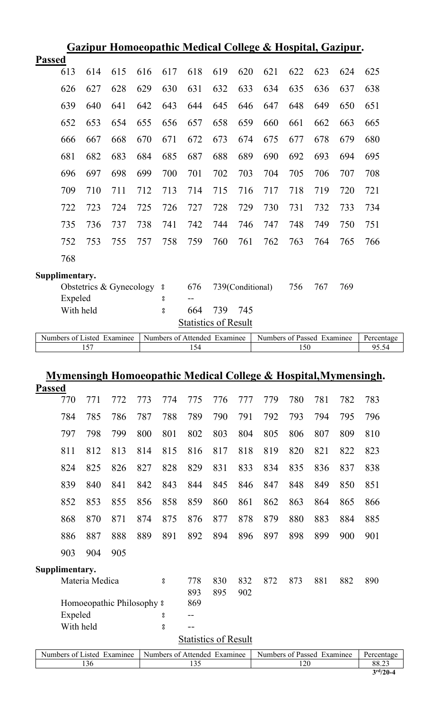|                                                                                          | Gazipur Homoeopathic Medical College & Hospital, Gazipur. |     |                         |     |            |                             |     |                  |                                                                            |     |     |            |       |
|------------------------------------------------------------------------------------------|-----------------------------------------------------------|-----|-------------------------|-----|------------|-----------------------------|-----|------------------|----------------------------------------------------------------------------|-----|-----|------------|-------|
| <b>Passed</b>                                                                            |                                                           |     |                         |     |            |                             |     |                  |                                                                            |     |     |            |       |
|                                                                                          | 613                                                       | 614 | 615                     | 616 | 617        | 618                         | 619 | 620              | 621                                                                        | 622 | 623 | 624        | 625   |
|                                                                                          | 626                                                       | 627 | 628                     | 629 | 630        | 631                         | 632 | 633              | 634                                                                        | 635 | 636 | 637        | 638   |
|                                                                                          | 639                                                       | 640 | 641                     | 642 | 643        | 644                         | 645 | 646              | 647                                                                        | 648 | 649 | 650        | 651   |
|                                                                                          | 652                                                       | 653 | 654                     | 655 | 656        | 657                         | 658 | 659              | 660                                                                        | 661 | 662 | 663        | 665   |
|                                                                                          | 666                                                       | 667 | 668                     | 670 | 671        | 672                         | 673 | 674              | 675                                                                        | 677 | 678 | 679        | 680   |
|                                                                                          | 681                                                       | 682 | 683                     | 684 | 685        | 687                         | 688 | 689              | 690                                                                        | 692 | 693 | 694        | 695   |
|                                                                                          | 696                                                       | 697 | 698                     | 699 | 700        | 701                         | 702 | 703              | 704                                                                        | 705 | 706 | 707        | 708   |
|                                                                                          | 709                                                       | 710 | 711                     | 712 | 713        | 714                         | 715 | 716              | 717                                                                        | 718 | 719 | 720        | 721   |
|                                                                                          | 722                                                       | 723 | 724                     | 725 | 726        | 727                         | 728 | 729              | 730                                                                        | 731 | 732 | 733        | 734   |
|                                                                                          | 735                                                       | 736 | 737                     | 738 | 741        | 742                         | 744 | 746              | 747                                                                        | 748 | 749 | 750        | 751   |
|                                                                                          | 752                                                       | 753 | 755                     | 757 | 758        | 759                         | 760 | 761              | 762                                                                        | 763 | 764 | 765        | 766   |
|                                                                                          | 768                                                       |     |                         |     |            |                             |     |                  |                                                                            |     |     |            |       |
|                                                                                          | Supplimentary.                                            |     |                         |     |            |                             |     |                  |                                                                            |     |     |            |       |
|                                                                                          |                                                           |     | Obstetrics & Gynecology |     | $\rm ^{o}$ | 676                         |     | 739(Conditional) |                                                                            | 756 | 767 | 769        |       |
|                                                                                          | Expeled                                                   |     |                         |     | $\rm ^o$   |                             |     |                  |                                                                            |     |     |            |       |
|                                                                                          | With held                                                 |     |                         |     | °          | 664                         | 739 | 745              |                                                                            |     |     |            |       |
|                                                                                          |                                                           |     |                         |     |            | <b>Statistics of Result</b> |     |                  |                                                                            |     |     |            |       |
| Numbers of Listed Examinee<br>Numbers of Attended Examinee<br>Numbers of Passed Examinee |                                                           |     |                         |     |            |                             |     |                  |                                                                            |     |     | Percentage |       |
|                                                                                          |                                                           | 157 |                         |     |            | 154                         |     |                  |                                                                            | 150 |     |            | 95.54 |
|                                                                                          |                                                           |     |                         |     |            |                             |     |                  |                                                                            |     |     |            |       |
|                                                                                          |                                                           |     |                         |     |            |                             |     |                  | <u>Mymensingh Homoeopathic Medical College &amp; Hospital, Mymensingh.</u> |     |     |            |       |
|                                                                                          |                                                           |     |                         |     |            |                             |     |                  |                                                                            |     |     |            |       |

|                                                                          | <b>Passed</b>  |           |                |                                       |     |                    |                             |     |     |     |                            |     |     |            |
|--------------------------------------------------------------------------|----------------|-----------|----------------|---------------------------------------|-----|--------------------|-----------------------------|-----|-----|-----|----------------------------|-----|-----|------------|
|                                                                          |                | 770       | 771            | 772                                   | 773 | 774                | 775                         | 776 | 777 | 779 | 780                        | 781 | 782 | 783        |
|                                                                          |                | 784       | 785            | 786                                   | 787 | 788                | 789                         | 790 | 791 | 792 | 793                        | 794 | 795 | 796        |
|                                                                          |                | 797       | 798            | 799                                   | 800 | 801                | 802                         | 803 | 804 | 805 | 806                        | 807 | 809 | 810        |
|                                                                          |                | 811       | 812            | 813                                   | 814 | 815                | 816                         | 817 | 818 | 819 | 820                        | 821 | 822 | 823        |
|                                                                          |                | 824       | 825            | 826                                   | 827 | 828                | 829                         | 831 | 833 | 834 | 835                        | 836 | 837 | 838        |
|                                                                          |                | 839       | 840            | 841                                   | 842 | 843                | 844                         | 845 | 846 | 847 | 848                        | 849 | 850 | 851        |
|                                                                          |                | 852       | 853            | 855                                   | 856 | 858                | 859                         | 860 | 861 | 862 | 863                        | 864 | 865 | 866        |
|                                                                          |                | 868       | 870            | 871                                   | 874 | 875                | 876                         | 877 | 878 | 879 | 880                        | 883 | 884 | 885        |
|                                                                          |                | 886       | 887            | 888                                   | 889 | 891                | 892                         | 894 | 896 | 897 | 898                        | 899 | 900 | 901        |
|                                                                          |                | 903       | 904            | 905                                   |     |                    |                             |     |     |     |                            |     |     |            |
|                                                                          | Supplimentary. |           |                |                                       |     |                    |                             |     |     |     |                            |     |     |            |
|                                                                          |                |           | Materia Medica |                                       |     | $_{\rm o}^{\rm o}$ | 778                         | 830 | 832 | 872 | 873                        | 881 | 882 | 890        |
|                                                                          |                |           |                |                                       |     |                    | 893                         | 895 | 902 |     |                            |     |     |            |
|                                                                          |                |           |                | Homoeopathic Philosophy $\frac{1}{2}$ |     |                    | 869                         |     |     |     |                            |     |     |            |
|                                                                          |                | Expeled   |                |                                       |     | 8                  | --                          |     |     |     |                            |     |     |            |
|                                                                          |                | With held |                |                                       |     | 8                  | $-1$                        |     |     |     |                            |     |     |            |
|                                                                          |                |           |                |                                       |     |                    | <b>Statistics of Result</b> |     |     |     |                            |     |     |            |
|                                                                          |                |           |                |                                       |     |                    |                             |     |     |     | Numbers of Passed Examinee |     |     | Percentage |
| Numbers of Listed Examinee<br>Numbers of Attended Examinee<br>135<br>136 |                |           |                |                                       |     |                    |                             |     |     |     | 120                        |     |     | 88.23      |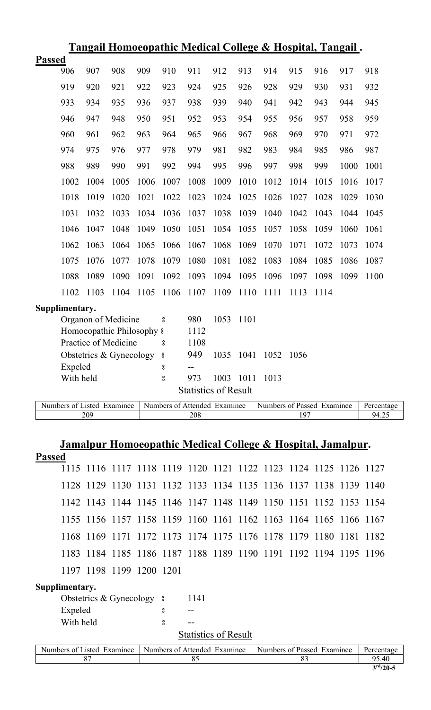| <u>Tangail Homoeopathic Medical College &amp; Hospital, Tangail.</u> |                |      |                           |      |                    |                             |      |      |      |      |      |      |      |
|----------------------------------------------------------------------|----------------|------|---------------------------|------|--------------------|-----------------------------|------|------|------|------|------|------|------|
| <b>Passed</b>                                                        |                |      |                           |      |                    |                             |      |      |      |      |      |      |      |
|                                                                      | 906            | 907  | 908                       | 909  | 910                | 911                         | 912  | 913  | 914  | 915  | 916  | 917  | 918  |
|                                                                      | 919            | 920  | 921                       | 922  | 923                | 924                         | 925  | 926  | 928  | 929  | 930  | 931  | 932  |
|                                                                      | 933            | 934  | 935                       | 936  | 937                | 938                         | 939  | 940  | 941  | 942  | 943  | 944  | 945  |
|                                                                      | 946            | 947  | 948                       | 950  | 951                | 952                         | 953  | 954  | 955  | 956  | 957  | 958  | 959  |
|                                                                      | 960            | 961  | 962                       | 963  | 964                | 965                         | 966  | 967  | 968  | 969  | 970  | 971  | 972  |
|                                                                      | 974            | 975  | 976                       | 977  | 978                | 979                         | 981  | 982  | 983  | 984  | 985  | 986  | 987  |
|                                                                      | 988            | 989  | 990                       | 991  | 992                | 994                         | 995  | 996  | 997  | 998  | 999  | 1000 | 1001 |
|                                                                      | 1002           | 1004 | 1005                      | 1006 | 1007               | 1008                        | 1009 | 1010 | 1012 | 1014 | 1015 | 1016 | 1017 |
|                                                                      | 1018           | 1019 | 1020                      | 1021 | 1022               | 1023                        | 1024 | 1025 | 1026 | 1027 | 1028 | 1029 | 1030 |
|                                                                      | 1031           | 1032 | 1033                      | 1034 | 1036               | 1037                        | 1038 | 1039 | 1040 | 1042 | 1043 | 1044 | 1045 |
|                                                                      | 1046           | 1047 | 1048                      | 1049 | 1050               | 1051                        | 1054 | 1055 | 1057 | 1058 | 1059 | 1060 | 1061 |
|                                                                      | 1062           | 1063 | 1064                      | 1065 | 1066               | 1067                        | 1068 | 1069 | 1070 | 1071 | 1072 | 1073 | 1074 |
|                                                                      | 1075           | 1076 | 1077                      | 1078 | 1079               | 1080                        | 1081 | 1082 | 1083 | 1084 | 1085 | 1086 | 1087 |
|                                                                      | 1088           | 1089 | 1090                      | 1091 | 1092               | 1093                        | 1094 | 1095 | 1096 | 1097 | 1098 | 1099 | 1100 |
|                                                                      | 1102           | 1103 | 1104                      | 1105 | 1106               | 1107                        | 1109 | 1110 | 1111 | 1113 | 1114 |      |      |
|                                                                      | Supplimentary. |      |                           |      |                    |                             |      |      |      |      |      |      |      |
|                                                                      |                |      | Organon of Medicine       |      | o<br>0             | 980                         | 1053 | 1101 |      |      |      |      |      |
|                                                                      |                |      | Homoeopathic Philosophy 8 |      |                    | 1112                        |      |      |      |      |      |      |      |
|                                                                      |                |      | Practice of Medicine      |      | 8                  | 1108                        |      |      |      |      |      |      |      |
|                                                                      |                |      | Obstetrics & Gynecology   |      | $^{\circ}_{\circ}$ | 949                         | 1035 | 1041 | 1052 | 1056 |      |      |      |
|                                                                      | Expeled        |      |                           |      | 8                  | $-$                         |      |      |      |      |      |      |      |
|                                                                      | With held      |      |                           |      | o<br>0             | 973                         | 1003 | 1011 | 1013 |      |      |      |      |
|                                                                      |                |      |                           |      |                    | <b>Statistics of Result</b> |      |      |      |      |      |      |      |

Numbers of Listed Examinee Numbers of Attended Examinee Numbers of Passed Examinee Percentage<br>2009 2019 209 208 197 94.25

# **Jamalpur Homoeopathic Medical College & Hospital, Jamalpur.**

|  |  |  | rassed |
|--|--|--|--------|
|  |  |  |        |

|  |                          | 1115 1116 1117 1118 1119 1120 1121 1122 1123 1124 1125 1126 1127 |  |  |  |  |
|--|--------------------------|------------------------------------------------------------------|--|--|--|--|
|  |                          | 1128 1129 1130 1131 1132 1133 1134 1135 1136 1137 1138 1139 1140 |  |  |  |  |
|  |                          | 1142 1143 1144 1145 1146 1147 1148 1149 1150 1151 1152 1153 1154 |  |  |  |  |
|  |                          | 1155 1156 1157 1158 1159 1160 1161 1162 1163 1164 1165 1166 1167 |  |  |  |  |
|  |                          | 1168 1169 1171 1172 1173 1174 1175 1176 1178 1179 1180 1181 1182 |  |  |  |  |
|  |                          | 1183 1184 1185 1186 1187 1188 1189 1190 1191 1192 1194 1195 1196 |  |  |  |  |
|  | 1197 1198 1199 1200 1201 |                                                                  |  |  |  |  |

# **Supplimentary.**

| Obstetrics & Gynecology |     | 1141                 |
|-------------------------|-----|----------------------|
| Expeled                 |     |                      |
| With held               | ဂ္ဂ |                      |
|                         |     | $\sim$ $\sim$ $\sim$ |

**Statistics of Result** 

| Examinee<br>usted.<br>Numbers of | Numbers of<br>Affended<br>Examinee | Numbers of<br>Examinee<br>Passed | Percentage   |
|----------------------------------|------------------------------------|----------------------------------|--------------|
| U                                | $\mathbf{v}$                       |                                  | 05<br>.40    |
|                                  |                                    |                                  | $-$ and $ -$ |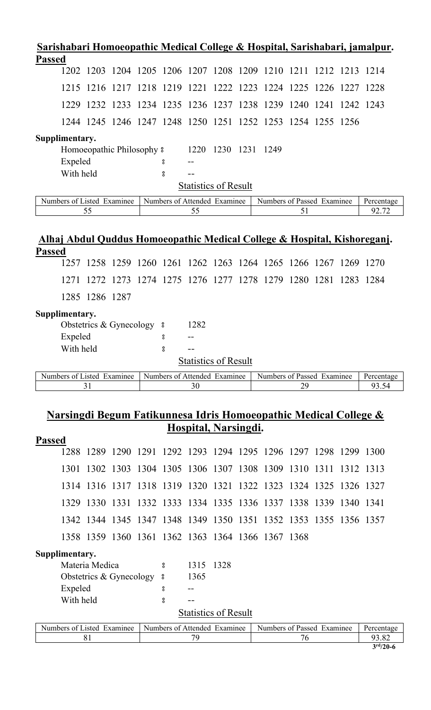| Sarishabari Homoeopathic Medical College & Hospital, Sarishabari, jamalpur. |                                                                  |                                                             |  |          |      |                              |  |                            |      |      |      |            |
|-----------------------------------------------------------------------------|------------------------------------------------------------------|-------------------------------------------------------------|--|----------|------|------------------------------|--|----------------------------|------|------|------|------------|
| <b>Passed</b>                                                               |                                                                  |                                                             |  |          |      |                              |  |                            |      |      |      |            |
|                                                                             | 1202 1203 1204 1205 1206 1207 1208 1209 1210 1211 1212 1213 1214 |                                                             |  |          |      |                              |  |                            |      |      |      |            |
| 1215                                                                        |                                                                  | 1216 1217 1218 1219 1221 1222 1223 1224 1225 1226 1227 1228 |  |          |      |                              |  |                            |      |      |      |            |
| 1229                                                                        |                                                                  | 1232 1233 1234 1235 1236 1237 1238 1239                     |  |          |      |                              |  |                            | 1240 | 1241 | 1242 | 1243       |
|                                                                             | 1244 1245 1246 1247 1248 1250 1251 1252 1253 1254 1255 1256      |                                                             |  |          |      |                              |  |                            |      |      |      |            |
| Supplimentary.                                                              |                                                                  |                                                             |  |          |      |                              |  |                            |      |      |      |            |
|                                                                             | Homoeopathic Philosophy $\frac{1}{2}$                            |                                                             |  |          |      | 1220 1230 1231 1249          |  |                            |      |      |      |            |
| Expeled                                                                     |                                                                  |                                                             |  | °        |      |                              |  |                            |      |      |      |            |
|                                                                             | With held                                                        |                                                             |  | $\bf{g}$ |      |                              |  |                            |      |      |      |            |
|                                                                             |                                                                  |                                                             |  |          |      | <b>Statistics of Result</b>  |  |                            |      |      |      |            |
| Numbers of Listed Examinee                                                  |                                                                  |                                                             |  |          |      | Numbers of Attended Examinee |  | Numbers of Passed Examinee |      |      |      | Percentage |
|                                                                             | 55                                                               |                                                             |  |          | 55   |                              |  |                            | 51   |      |      | 92.72      |
| Alhaj Abdul Quddus Homoeopathic Medical College & Hospital, Kishoreganj.    |                                                                  |                                                             |  |          |      |                              |  |                            |      |      |      |            |
| <b>Passed</b>                                                               | 1257 1258 1259 1260 1261 1262 1263 1264 1265 1266 1267 1269 1270 |                                                             |  |          |      |                              |  |                            |      |      |      |            |
| 1271                                                                        |                                                                  | 1272 1273 1274 1275 1276 1277 1278 1279 1280 1281 1283 1284 |  |          |      |                              |  |                            |      |      |      |            |
|                                                                             | 1285 1286 1287                                                   |                                                             |  |          |      |                              |  |                            |      |      |      |            |
| Supplimentary.                                                              |                                                                  |                                                             |  |          |      |                              |  |                            |      |      |      |            |
|                                                                             | Obstetrics & Gynecology 8                                        |                                                             |  |          | 1282 |                              |  |                            |      |      |      |            |
| Expeled                                                                     |                                                                  |                                                             |  | 8        | --   |                              |  |                            |      |      |      |            |
|                                                                             | With held                                                        |                                                             |  | 8        |      |                              |  |                            |      |      |      |            |
|                                                                             |                                                                  |                                                             |  |          |      | <b>Statistics of Result</b>  |  |                            |      |      |      |            |
| Numbers of Listed Examinee                                                  |                                                                  |                                                             |  |          |      | Numbers of Attended Examinee |  | Numbers of Passed Examinee |      |      |      | Percentage |
|                                                                             |                                                                  |                                                             |  |          |      |                              |  |                            |      |      |      |            |
|                                                                             | 31                                                               |                                                             |  |          | 30   |                              |  |                            | 29   |      |      | 93.54      |

# **Narsingdi Begum Fatikunnesa Idris Homoeopathic Medical College & Hospital, Narsingdi.**

| <b>Passed</b>  |           |                |                            |                                                   |                             |  |    |                            |                                                                  |            |
|----------------|-----------|----------------|----------------------------|---------------------------------------------------|-----------------------------|--|----|----------------------------|------------------------------------------------------------------|------------|
|                |           |                |                            |                                                   |                             |  |    |                            | 1288 1289 1290 1291 1292 1293 1294 1295 1296 1297 1298 1299 1300 |            |
|                |           |                |                            |                                                   |                             |  |    |                            | 1301 1302 1303 1304 1305 1306 1307 1308 1309 1310 1311 1312 1313 |            |
|                |           |                |                            |                                                   |                             |  |    |                            | 1314 1316 1317 1318 1319 1320 1321 1322 1323 1324 1325 1326 1327 |            |
|                |           |                |                            |                                                   |                             |  |    |                            | 1329 1330 1331 1332 1333 1334 1335 1336 1337 1338 1339 1340 1341 |            |
|                |           |                |                            |                                                   |                             |  |    |                            | 1342 1344 1345 1347 1348 1349 1350 1351 1352 1353 1355 1356 1357 |            |
|                |           |                |                            | 1358 1359 1360 1361 1362 1363 1364 1366 1367 1368 |                             |  |    |                            |                                                                  |            |
| Supplimentary. |           |                |                            |                                                   |                             |  |    |                            |                                                                  |            |
|                |           | Materia Medica |                            | $8^{\circ}$                                       | 1315 1328                   |  |    |                            |                                                                  |            |
|                |           |                | Obstetrics & Gynecology 8  |                                                   | 1365                        |  |    |                            |                                                                  |            |
|                | Expeled   |                |                            | å                                                 |                             |  |    |                            |                                                                  |            |
|                | With held |                |                            | 8                                                 |                             |  |    |                            |                                                                  |            |
|                |           |                |                            |                                                   | <b>Statistics of Result</b> |  |    |                            |                                                                  |            |
|                |           |                | Numbers of Listed Examinee | Numbers of Attended Examinee                      |                             |  |    | Numbers of Passed Examinee |                                                                  | Percentage |
|                |           | 81             |                            |                                                   | 79                          |  | 76 |                            |                                                                  | 93.82      |
|                |           |                |                            |                                                   |                             |  |    |                            |                                                                  | $3rd/20-6$ |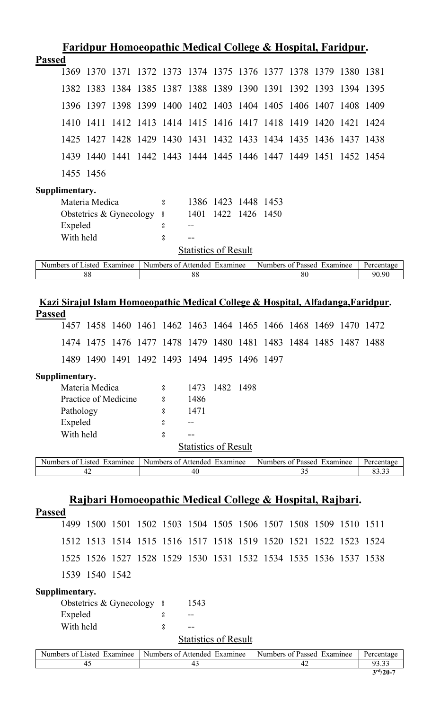|               |                      |                |                            |      |                    |           |                              |      | Faridpur Homoeopathic Medical College & Hospital, Faridpur.           |                     |      |           |                                                                                  |
|---------------|----------------------|----------------|----------------------------|------|--------------------|-----------|------------------------------|------|-----------------------------------------------------------------------|---------------------|------|-----------|----------------------------------------------------------------------------------|
| <b>Passed</b> |                      |                |                            |      |                    |           |                              |      |                                                                       |                     |      |           |                                                                                  |
|               | 1369                 | 1370           | 1371                       | 1372 | 1373               | 1374 1375 |                              |      | 1376 1377 1378 1379                                                   |                     |      | 1380 1381 |                                                                                  |
|               | 1382                 | 1383           | 1384                       | 1385 | 1387               |           | 1388 1389 1390               |      | 1391                                                                  | 1392                | 1393 | 1394      | 1395                                                                             |
|               |                      | 1396 1397      | 1398                       | 1399 | 1400               |           |                              |      | 1402 1403 1404 1405                                                   | 1406 1407           |      | 1408      | 1409                                                                             |
|               | 1410                 | 1411           | 1412                       | 1413 |                    |           |                              |      | 1414 1415 1416 1417 1418 1419                                         |                     | 1420 | 1421      | 1424                                                                             |
|               | 1425                 | 1427           | 1428                       | 1429 |                    |           |                              |      | 1430 1431 1432 1433 1434 1435 1436 1437                               |                     |      |           | -1438                                                                            |
|               | 1439                 | 1440           | 1441                       |      | 1442 1443          |           |                              |      | 1444 1445 1446 1447 1449 1451 1452                                    |                     |      |           | -1454                                                                            |
|               | 1455 1456            |                |                            |      |                    |           |                              |      |                                                                       |                     |      |           |                                                                                  |
|               | Supplimentary.       |                |                            |      |                    |           |                              |      |                                                                       |                     |      |           |                                                                                  |
|               |                      | Materia Medica |                            |      | 8                  |           |                              |      | 1386 1423 1448 1453                                                   |                     |      |           |                                                                                  |
|               |                      |                | Obstetrics & Gynecology    |      | 8                  | 1401      | 1422                         | 1426 | 1450                                                                  |                     |      |           |                                                                                  |
|               | Expeled              |                |                            |      | 8                  |           |                              |      |                                                                       |                     |      |           |                                                                                  |
|               | With held            |                |                            |      | $_{\rm o}^{\rm o}$ |           | <b>Statistics of Result</b>  |      |                                                                       |                     |      |           |                                                                                  |
|               |                      |                | Numbers of Listed Examinee |      |                    |           |                              |      |                                                                       |                     |      |           |                                                                                  |
|               |                      | 88             |                            |      |                    | 88        | Numbers of Attended Examinee |      | Numbers of Passed Examinee                                            | 80                  |      |           | Percentage<br>90.90                                                              |
|               |                      |                |                            |      |                    |           |                              |      |                                                                       |                     |      |           |                                                                                  |
|               |                      |                |                            |      |                    |           |                              |      |                                                                       |                     |      |           | Kazi Sirajul Islam Homoeopathic Medical College & Hospital, Alfadanga, Faridpur. |
| <b>Passed</b> |                      |                |                            |      |                    |           |                              |      |                                                                       |                     |      |           |                                                                                  |
|               |                      |                |                            |      |                    |           |                              |      | 1457 1458 1460 1461 1462 1463 1464 1465 1466 1468 1469                |                     |      | 1470      | 1472                                                                             |
|               | 1474                 | 1475           | 1476                       | 1477 | 1478               |           |                              |      | 1479 1480 1481 1483                                                   | 1484 1485 1487 1488 |      |           |                                                                                  |
|               |                      |                |                            |      |                    |           |                              |      | 1489 1490 1491 1492 1493 1494 1495 1496 1497                          |                     |      |           |                                                                                  |
|               | Supplimentary.       |                |                            |      |                    |           |                              |      |                                                                       |                     |      |           |                                                                                  |
|               |                      | Materia Medica |                            |      | 8                  | 1473      | 1482 1498                    |      |                                                                       |                     |      |           |                                                                                  |
|               |                      |                | Practice of Medicine       |      | 8                  | 1486      |                              |      |                                                                       |                     |      |           |                                                                                  |
|               | Pathology            |                |                            |      | °                  | 1471      |                              |      |                                                                       |                     |      |           |                                                                                  |
|               | Expeled<br>With held |                |                            |      | 8<br>8             |           |                              |      |                                                                       |                     |      |           |                                                                                  |
|               |                      |                |                            |      |                    |           | <b>Statistics of Result</b>  |      |                                                                       |                     |      |           |                                                                                  |
|               |                      |                | Numbers of Listed Examinee |      |                    |           | Numbers of Attended Examinee |      | Numbers of Passed Examinee                                            |                     |      |           | Percentage                                                                       |
|               |                      | 42             |                            |      |                    | 40        |                              |      |                                                                       | 35                  |      |           | 83.33                                                                            |
|               |                      |                |                            |      |                    |           |                              |      |                                                                       |                     |      |           |                                                                                  |
|               |                      |                |                            |      |                    |           |                              |      | <u> Rajbari Homoeopathic Medical College &amp; Hospital, Rajbari.</u> |                     |      |           |                                                                                  |
| <b>Passed</b> |                      |                |                            |      |                    |           |                              |      |                                                                       |                     |      |           |                                                                                  |
|               |                      |                |                            |      |                    |           |                              |      | 1499 1500 1501 1502 1503 1504 1505 1506 1507 1508 1509 1510 1511      |                     |      |           |                                                                                  |
|               |                      |                |                            |      |                    |           |                              |      | 1512 1513 1514 1515 1516 1517 1518 1519 1520 1521 1522 1523           |                     |      |           | 1524                                                                             |
|               |                      |                |                            |      |                    |           |                              |      | 1525 1526 1527 1528 1529 1530 1531 1532 1534 1535 1536 1537 1538      |                     |      |           |                                                                                  |
|               |                      | 1539 1540 1542 |                            |      |                    |           |                              |      |                                                                       |                     |      |           |                                                                                  |
|               | Supplimentary.       |                |                            |      |                    |           |                              |      |                                                                       |                     |      |           |                                                                                  |
|               |                      |                | Obstetrics & Gynecology    |      | $^{\circ}$         | 1543      |                              |      |                                                                       |                     |      |           |                                                                                  |
|               | Expeled              |                |                            |      | 8                  |           |                              |      |                                                                       |                     |      |           |                                                                                  |
|               | With held            |                |                            |      | 8                  |           |                              |      |                                                                       |                     |      |           |                                                                                  |
|               |                      |                |                            |      |                    |           | <b>Statistics of Result</b>  |      |                                                                       |                     |      |           |                                                                                  |

| Numbers<br>Examinee<br>.1sted<br>. വ | Attended<br>Numbers of<br>Examinee | <sup>o</sup> Passed<br>Numbers of<br>Examinee | Percentage                          |
|--------------------------------------|------------------------------------|-----------------------------------------------|-------------------------------------|
|                                      |                                    |                                               | ሰ2                                  |
|                                      |                                    |                                               | $\Delta r d / \Delta \Delta \equiv$ |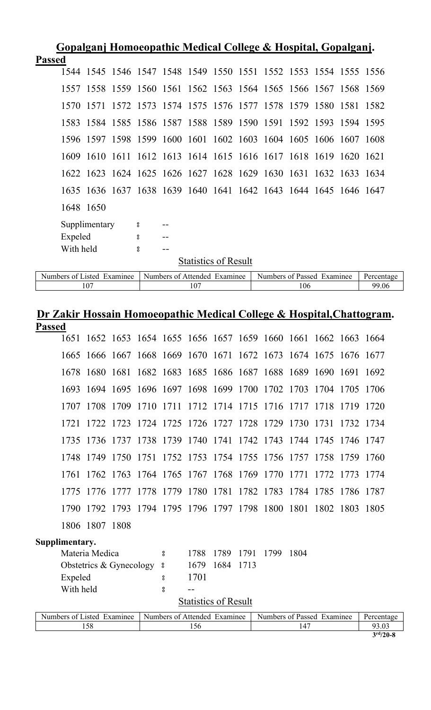|               |                            |               |                  |                              |     |                             | Gopalganj Homoeopathic Medical College & Hospital, Gopalganj.    |     |  |            |
|---------------|----------------------------|---------------|------------------|------------------------------|-----|-----------------------------|------------------------------------------------------------------|-----|--|------------|
| <b>Passed</b> |                            |               |                  |                              |     |                             |                                                                  |     |  |            |
|               |                            |               |                  |                              |     |                             | 1544 1545 1546 1547 1548 1549 1550 1551 1552 1553 1554 1555 1556 |     |  |            |
|               |                            |               |                  |                              |     |                             | 1557 1558 1559 1560 1561 1562 1563 1564 1565 1566 1567 1568 1569 |     |  |            |
|               |                            |               |                  |                              |     |                             | 1570 1571 1572 1573 1574 1575 1576 1577 1578 1579 1580 1581 1582 |     |  |            |
|               |                            |               |                  |                              |     |                             | 1583 1584 1585 1586 1587 1588 1589 1590 1591 1592 1593 1594 1595 |     |  |            |
|               |                            |               |                  |                              |     |                             | 1596 1597 1598 1599 1600 1601 1602 1603 1604 1605 1606 1607 1608 |     |  |            |
|               |                            |               |                  |                              |     |                             | 1609 1610 1611 1612 1613 1614 1615 1616 1617 1618 1619 1620 1621 |     |  |            |
|               |                            |               |                  |                              |     |                             | 1622 1623 1624 1625 1626 1627 1628 1629 1630 1631 1632 1633 1634 |     |  |            |
|               |                            |               |                  |                              |     |                             | 1635 1636 1637 1638 1639 1640 1641 1642 1643 1644 1645 1646 1647 |     |  |            |
|               |                            | 1648 1650     |                  |                              |     |                             |                                                                  |     |  |            |
|               |                            | Supplimentary | $\boldsymbol{S}$ |                              |     |                             |                                                                  |     |  |            |
|               | Expeled                    |               | °                |                              |     |                             |                                                                  |     |  |            |
|               | With held                  |               | å                | $-$                          |     |                             |                                                                  |     |  |            |
|               |                            |               |                  |                              |     | <b>Statistics of Result</b> |                                                                  |     |  |            |
|               | Numbers of Listed Examinee |               |                  | Numbers of Attended Examinee |     |                             | Numbers of Passed Examinee                                       |     |  | Percentage |
|               |                            | 107           |                  |                              | 107 |                             |                                                                  | 106 |  | 99.06      |

### **Dr Zakir Hossain Homoeopathic Medical College & Hospital,Chattogram. Passed**

|                |                |                            |                              |                             |      |      | 1651 1652 1653 1654 1655 1656 1657 1659 1660 1661 1662 1663 1664 |      |  |  |            |  |
|----------------|----------------|----------------------------|------------------------------|-----------------------------|------|------|------------------------------------------------------------------|------|--|--|------------|--|
|                |                |                            |                              |                             |      |      | 1665 1666 1667 1668 1669 1670 1671 1672 1673 1674 1675 1676 1677 |      |  |  |            |  |
|                |                |                            |                              |                             |      |      | 1678 1680 1681 1682 1683 1685 1686 1687 1688 1689 1690 1691 1692 |      |  |  |            |  |
|                |                |                            |                              |                             |      |      | 1693 1694 1695 1696 1697 1698 1699 1700 1702 1703 1704 1705 1706 |      |  |  |            |  |
|                |                |                            |                              |                             |      |      | 1707 1708 1709 1710 1711 1712 1714 1715 1716 1717 1718 1719 1720 |      |  |  |            |  |
| 1721           |                |                            |                              |                             |      |      | 1722 1723 1724 1725 1726 1727 1728 1729 1730 1731 1732 1734      |      |  |  |            |  |
|                |                |                            |                              |                             |      |      | 1735 1736 1737 1738 1739 1740 1741 1742 1743 1744 1745 1746 1747 |      |  |  |            |  |
|                |                |                            |                              |                             |      |      | 1748 1749 1750 1751 1752 1753 1754 1755 1756 1757 1758 1759 1760 |      |  |  |            |  |
|                |                |                            |                              |                             |      |      | 1761 1762 1763 1764 1765 1767 1768 1769 1770 1771 1772 1773      |      |  |  | -1774      |  |
|                |                |                            |                              |                             |      |      | 1775 1776 1777 1778 1779 1780 1781 1782 1783 1784 1785 1786 1787 |      |  |  |            |  |
|                |                |                            |                              |                             |      |      | 1790 1792 1793 1794 1795 1796 1797 1798 1800 1801 1802 1803 1805 |      |  |  |            |  |
|                | 1806 1807 1808 |                            |                              |                             |      |      |                                                                  |      |  |  |            |  |
| Supplimentary. |                |                            |                              |                             |      |      |                                                                  |      |  |  |            |  |
|                | Materia Medica |                            | 8                            | 1788                        | 1789 | 1791 | 1799                                                             | 1804 |  |  |            |  |
|                |                | Obstetrics & Gynecology 8  |                              | 1679                        | 1684 | 1713 |                                                                  |      |  |  |            |  |
| Expeled        |                |                            | 8                            | 1701                        |      |      |                                                                  |      |  |  |            |  |
| With held      |                |                            | 8                            |                             |      |      |                                                                  |      |  |  |            |  |
|                |                |                            |                              | <b>Statistics of Result</b> |      |      |                                                                  |      |  |  |            |  |
|                |                | Numbers of Listed Examinee | Numbers of Attended Examinee |                             |      |      | Numbers of Passed Examinee                                       |      |  |  | Percentage |  |
|                | 158            |                            | 156                          |                             |      |      |                                                                  | 147  |  |  |            |  |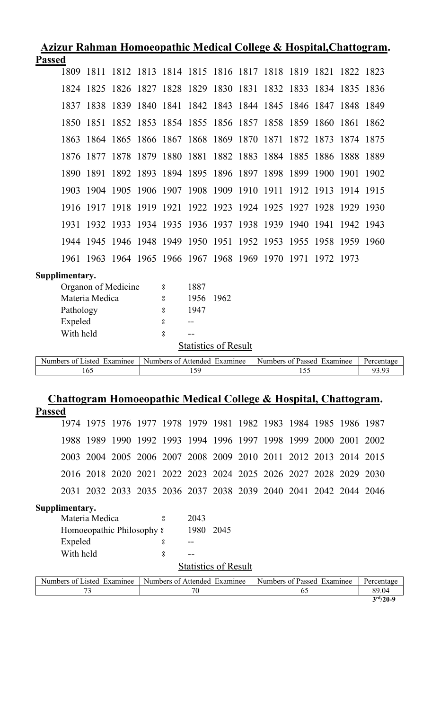| Azizur Rahman Homoeopathic Medical College & Hospital, Chattogram. |  |  |  |
|--------------------------------------------------------------------|--|--|--|
| <b>Passed</b>                                                      |  |  |  |

| - ------       |                |                                                                  |                              |                             |      |  |                            |  |     |  |                     |  |  |
|----------------|----------------|------------------------------------------------------------------|------------------------------|-----------------------------|------|--|----------------------------|--|-----|--|---------------------|--|--|
|                | 1809           | 1811 1812 1813 1814 1815 1816 1817 1818 1819 1821 1822 1823      |                              |                             |      |  |                            |  |     |  |                     |  |  |
|                |                | 1824 1825 1826 1827 1828 1829 1830 1831 1832 1833 1834 1835 1836 |                              |                             |      |  |                            |  |     |  |                     |  |  |
|                |                | 1837 1838 1839 1840 1841 1842 1843 1844 1845 1846 1847 1848 1849 |                              |                             |      |  |                            |  |     |  |                     |  |  |
|                |                | 1850 1851 1852 1853 1854 1855 1856 1857 1858 1859 1860 1861 1862 |                              |                             |      |  |                            |  |     |  |                     |  |  |
|                |                | 1863 1864 1865 1866 1867 1868 1869 1870 1871 1872 1873 1874 1875 |                              |                             |      |  |                            |  |     |  |                     |  |  |
|                |                | 1876 1877 1878 1879 1880 1881 1882 1883 1884 1885 1886 1888 1889 |                              |                             |      |  |                            |  |     |  |                     |  |  |
|                | 1890           | 1891 1892 1893 1894 1895 1896 1897 1898 1899 1900 1901 1902      |                              |                             |      |  |                            |  |     |  |                     |  |  |
|                |                | 1903 1904 1905 1906 1907 1908 1909 1910 1911 1912 1913 1914 1915 |                              |                             |      |  |                            |  |     |  |                     |  |  |
|                |                | 1916 1917 1918 1919 1921 1922 1923 1924 1925 1927 1928 1929 1930 |                              |                             |      |  |                            |  |     |  |                     |  |  |
|                |                | 1931 1932 1933 1934 1935 1936 1937 1938 1939 1940 1941 1942 1943 |                              |                             |      |  |                            |  |     |  |                     |  |  |
|                |                | 1944 1945 1946 1948 1949 1950 1951 1952 1953 1955 1958 1959 1960 |                              |                             |      |  |                            |  |     |  |                     |  |  |
|                |                | 1961 1963 1964 1965 1966 1967 1968 1969 1970 1971 1972 1973      |                              |                             |      |  |                            |  |     |  |                     |  |  |
| Supplimentary. |                |                                                                  |                              |                             |      |  |                            |  |     |  |                     |  |  |
|                |                | Organon of Medicine                                              | °                            | 1887                        |      |  |                            |  |     |  |                     |  |  |
|                | Materia Medica |                                                                  | 8                            | 1956                        | 1962 |  |                            |  |     |  |                     |  |  |
|                | Pathology      |                                                                  | 8                            | 1947                        |      |  |                            |  |     |  |                     |  |  |
|                | Expeled        |                                                                  | 8                            |                             |      |  |                            |  |     |  |                     |  |  |
|                | With held      |                                                                  | å                            |                             |      |  |                            |  |     |  |                     |  |  |
|                |                |                                                                  |                              | <b>Statistics of Result</b> |      |  |                            |  |     |  |                     |  |  |
|                |                |                                                                  |                              |                             |      |  |                            |  |     |  |                     |  |  |
|                |                | Numbers of Listed Examinee                                       | Numbers of Attended Examinee |                             |      |  | Numbers of Passed Examinee |  |     |  | Percentage<br>93.93 |  |  |
|                | 165            |                                                                  |                              | 159                         |      |  |                            |  | 155 |  |                     |  |  |

# **Chattogram Homoeopathic Medical College & Hospital, Chattogram.**

| <b>Passed</b> |                            |                                                                  |  |                              |           |                             |                                                        |    |  |            |
|---------------|----------------------------|------------------------------------------------------------------|--|------------------------------|-----------|-----------------------------|--------------------------------------------------------|----|--|------------|
|               |                            | 1974 1975 1976 1977 1978 1979 1981 1982 1983 1984 1985 1986 1987 |  |                              |           |                             |                                                        |    |  |            |
|               |                            | 1988 1989                                                        |  |                              |           |                             | 1990 1992 1993 1994 1996 1997 1998 1999 2000 2001 2002 |    |  |            |
|               |                            | 2003 2004 2005 2006 2007 2008 2009 2010 2011 2012 2013 2014 2015 |  |                              |           |                             |                                                        |    |  |            |
|               |                            | 2016 2018 2020 2021 2022 2023 2024 2025 2026 2027 2028 2029 2030 |  |                              |           |                             |                                                        |    |  |            |
|               |                            | 2031 2032 2033 2035 2036 2037 2038 2039 2040 2041 2042 2044 2046 |  |                              |           |                             |                                                        |    |  |            |
|               | Supplimentary.             |                                                                  |  |                              |           |                             |                                                        |    |  |            |
|               |                            | Materia Medica                                                   |  | $\tilde{g}$                  | 2043      |                             |                                                        |    |  |            |
|               |                            | Homoeopathic Philosophy $\frac{1}{2}$                            |  |                              | 1980 2045 |                             |                                                        |    |  |            |
|               | Expeled                    |                                                                  |  | 8                            |           |                             |                                                        |    |  |            |
|               | With held                  |                                                                  |  | å                            | --        |                             |                                                        |    |  |            |
|               |                            |                                                                  |  |                              |           | <b>Statistics of Result</b> |                                                        |    |  |            |
|               | Numbers of Listed Examinee |                                                                  |  | Numbers of Attended Examinee |           |                             | Numbers of Passed Examinee                             |    |  | Percentage |
|               |                            | 73                                                               |  |                              | 70        |                             |                                                        | 65 |  | 89.04      |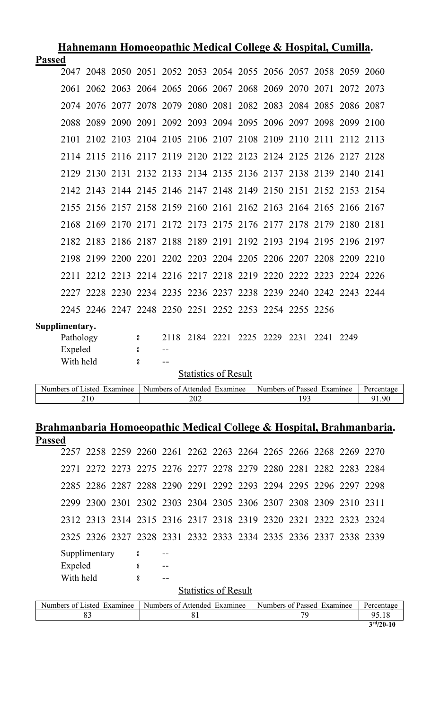| Hahnemann Homoeopathic Medical College & Hospital, Cumilla. |                                                                                                        |           |           |   |  |                             |  |  |                                                                  |  |                |  |  |
|-------------------------------------------------------------|--------------------------------------------------------------------------------------------------------|-----------|-----------|---|--|-----------------------------|--|--|------------------------------------------------------------------|--|----------------|--|--|
| <b>Passed</b>                                               |                                                                                                        |           |           |   |  |                             |  |  |                                                                  |  |                |  |  |
|                                                             |                                                                                                        |           |           |   |  |                             |  |  | 2047 2048 2050 2051 2052 2053 2054 2055 2056 2057 2058 2059 2060 |  |                |  |  |
|                                                             | 2061                                                                                                   |           |           |   |  |                             |  |  | 2062 2063 2064 2065 2066 2067 2068 2069 2070 2071 2072 2073      |  |                |  |  |
|                                                             |                                                                                                        |           |           |   |  |                             |  |  | 2074 2076 2077 2078 2079 2080 2081 2082 2083 2084 2085 2086 2087 |  |                |  |  |
|                                                             | 2088                                                                                                   | 2089      | 2090 2091 |   |  |                             |  |  | 2092 2093 2094 2095 2096 2097                                    |  | 2098 2099 2100 |  |  |
|                                                             | 2101                                                                                                   |           |           |   |  |                             |  |  | 2102 2103 2104 2105 2106 2107 2108 2109 2110 2111 2112 2113      |  |                |  |  |
|                                                             |                                                                                                        |           |           |   |  |                             |  |  | 2114 2115 2116 2117 2119 2120 2122 2123 2124 2125 2126 2127 2128 |  |                |  |  |
|                                                             |                                                                                                        |           |           |   |  |                             |  |  | 2129 2130 2131 2132 2133 2134 2135 2136 2137 2138 2139 2140 2141 |  |                |  |  |
|                                                             |                                                                                                        |           |           |   |  |                             |  |  | 2142 2143 2144 2145 2146 2147 2148 2149 2150 2151 2152 2153 2154 |  |                |  |  |
|                                                             |                                                                                                        |           |           |   |  |                             |  |  | 2155 2156 2157 2158 2159 2160 2161 2162 2163 2164 2165 2166 2167 |  |                |  |  |
|                                                             |                                                                                                        | 2168 2169 |           |   |  |                             |  |  | 2170 2171 2172 2173 2175 2176 2177 2178 2179 2180 2181           |  |                |  |  |
|                                                             |                                                                                                        |           |           |   |  |                             |  |  | 2182 2183 2186 2187 2188 2189 2191 2192 2193 2194 2195 2196 2197 |  |                |  |  |
|                                                             | 2198                                                                                                   | 2199      |           |   |  |                             |  |  | 2200 2201 2202 2203 2204 2205 2206 2207 2208 2209 2210           |  |                |  |  |
|                                                             | 2211                                                                                                   |           |           |   |  |                             |  |  | 2212 2213 2214 2216 2217 2218 2219 2220 2222 2223 2224 2226      |  |                |  |  |
|                                                             |                                                                                                        |           |           |   |  |                             |  |  | 2227 2228 2230 2234 2235 2236 2237 2238 2239 2240 2242 2243 2244 |  |                |  |  |
|                                                             |                                                                                                        |           |           |   |  |                             |  |  | 2245 2246 2247 2248 2250 2251 2252 2253 2254 2255 2256           |  |                |  |  |
|                                                             | Supplimentary.                                                                                         |           |           |   |  |                             |  |  |                                                                  |  |                |  |  |
|                                                             | Pathology                                                                                              |           |           | 8 |  |                             |  |  | 2118 2184 2221 2225 2229 2231                                    |  | 2241 2249      |  |  |
|                                                             | Expeled                                                                                                |           |           | 8 |  |                             |  |  |                                                                  |  |                |  |  |
|                                                             | With held                                                                                              |           |           | ° |  |                             |  |  |                                                                  |  |                |  |  |
|                                                             |                                                                                                        |           |           |   |  | <b>Statistics of Result</b> |  |  |                                                                  |  |                |  |  |
|                                                             | Numbers of Listed Examinee<br>Numbers of Attended Examinee<br>Numbers of Passed Examinee<br>Percentage |           |           |   |  |                             |  |  |                                                                  |  |                |  |  |
|                                                             | 202<br>193<br>91.90<br>210                                                                             |           |           |   |  |                             |  |  |                                                                  |  |                |  |  |

### **Brahmanbaria Homoeopathic Medical College & Hospital, Brahmanbaria. Passed**

|                            |               |  |   |                                                            |                             |  |  | 2257 2258 2259 2260 2261 2262 2263 2264 2265 2266 2268 2269 2270 |  |    |            |  |  |
|----------------------------|---------------|--|---|------------------------------------------------------------|-----------------------------|--|--|------------------------------------------------------------------|--|----|------------|--|--|
|                            |               |  |   |                                                            |                             |  |  | 2271 2272 2273 2275 2276 2277 2278 2279 2280 2281 2282 2283 2284 |  |    |            |  |  |
|                            |               |  |   |                                                            |                             |  |  | 2285 2286 2287 2288 2290 2291 2292 2293 2294 2295 2296 2297 2298 |  |    |            |  |  |
|                            |               |  |   |                                                            |                             |  |  | 2299 2300 2301 2302 2303 2304 2305 2306 2307 2308 2309 2310 2311 |  |    |            |  |  |
|                            |               |  |   |                                                            |                             |  |  | 2312 2313 2314 2315 2316 2317 2318 2319 2320 2321 2322 2323 2324 |  |    |            |  |  |
|                            |               |  |   |                                                            |                             |  |  | 2325 2326 2327 2328 2331 2332 2333 2334 2335 2336 2337 2338 2339 |  |    |            |  |  |
|                            | Supplimentary |  | ိ |                                                            |                             |  |  |                                                                  |  |    |            |  |  |
| Expeled                    |               |  | 8 |                                                            |                             |  |  |                                                                  |  |    |            |  |  |
| With held                  |               |  | ° |                                                            |                             |  |  |                                                                  |  |    |            |  |  |
|                            |               |  |   |                                                            | <b>Statistics of Result</b> |  |  |                                                                  |  |    |            |  |  |
| Numbers of Listed Examinee |               |  |   | Numbers of Attended Examinee<br>Numbers of Passed Examinee |                             |  |  |                                                                  |  |    | Percentage |  |  |
|                            | 83            |  |   |                                                            | 81                          |  |  |                                                                  |  | 79 |            |  |  |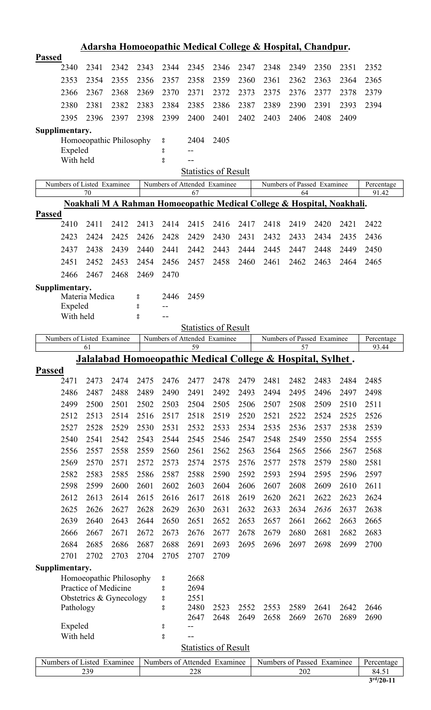| <u>Adarsha Homoeopathic Medical College &amp; Hospital, Chandpur.</u>                                                                |                                                                                                                                   |                                  |                            |      |                              |                              |                             |      |                                                                        |      |                            |      |                     |  |
|--------------------------------------------------------------------------------------------------------------------------------------|-----------------------------------------------------------------------------------------------------------------------------------|----------------------------------|----------------------------|------|------------------------------|------------------------------|-----------------------------|------|------------------------------------------------------------------------|------|----------------------------|------|---------------------|--|
| <b>Passed</b>                                                                                                                        |                                                                                                                                   |                                  |                            |      |                              |                              |                             |      |                                                                        |      |                            |      |                     |  |
|                                                                                                                                      | 2340                                                                                                                              | 2341                             | 2342                       | 2343 | 2344                         | 2345                         | 2346                        | 2347 | 2348                                                                   | 2349 | 2350                       | 2351 | 2352                |  |
|                                                                                                                                      | 2353                                                                                                                              | 2354                             | 2355                       | 2356 | 2357                         | 2358                         | 2359                        | 2360 | 2361                                                                   | 2362 | 2363                       | 2364 | 2365                |  |
|                                                                                                                                      | 2366                                                                                                                              | 2367                             | 2368                       | 2369 | 2370                         | 2371                         | 2372                        | 2373 | 2375                                                                   | 2376 | 2377                       | 2378 | 2379                |  |
|                                                                                                                                      | 2380                                                                                                                              | 2381                             | 2382                       | 2383 | 2384                         | 2385                         | 2386                        | 2387 | 2389                                                                   | 2390 | 2391                       | 2393 | 2394                |  |
|                                                                                                                                      | 2395                                                                                                                              | 2396                             | 2397                       | 2398 | 2399                         | 2400                         | 2401                        | 2402 | 2403                                                                   | 2406 | 2408                       | 2409 |                     |  |
|                                                                                                                                      | Supplimentary.                                                                                                                    |                                  |                            |      |                              |                              |                             |      |                                                                        |      |                            |      |                     |  |
|                                                                                                                                      |                                                                                                                                   |                                  | Homoeopathic Philosophy    |      | °                            | 2404                         | 2405                        |      |                                                                        |      |                            |      |                     |  |
|                                                                                                                                      | Expeled                                                                                                                           |                                  |                            |      | 8                            | --                           |                             |      |                                                                        |      |                            |      |                     |  |
|                                                                                                                                      | With held                                                                                                                         |                                  |                            |      | °                            |                              |                             |      |                                                                        |      |                            |      |                     |  |
|                                                                                                                                      |                                                                                                                                   |                                  |                            |      |                              |                              | <b>Statistics of Result</b> |      |                                                                        |      |                            |      |                     |  |
|                                                                                                                                      |                                                                                                                                   | Numbers of Listed Examinee<br>70 |                            |      | Numbers of Attended Examinee | 67                           |                             |      |                                                                        | 64   | Numbers of Passed Examinee |      | Percentage<br>91.42 |  |
|                                                                                                                                      |                                                                                                                                   |                                  |                            |      |                              |                              |                             |      | Noakhali M A Rahman Homoeopathic Medical College & Hospital, Noakhali. |      |                            |      |                     |  |
| <b>Passed</b>                                                                                                                        |                                                                                                                                   |                                  |                            |      |                              |                              |                             |      |                                                                        |      |                            |      |                     |  |
|                                                                                                                                      | 2410                                                                                                                              | 2411                             | 2412                       | 2413 | 2414                         | 2415                         | 2416                        | 2417 | 2418                                                                   | 2419 | 2420                       | 2421 | 2422                |  |
|                                                                                                                                      | 2423                                                                                                                              | 2424                             | 2425                       | 2426 | 2428                         | 2429                         | 2430                        | 2431 | 2432                                                                   | 2433 | 2434                       | 2435 | 2436                |  |
|                                                                                                                                      | 2437                                                                                                                              | 2438                             | 2439                       | 2440 | 2441                         | 2442                         | 2443                        | 2444 | 2445                                                                   | 2447 | 2448                       | 2449 | 2450                |  |
|                                                                                                                                      | 2451                                                                                                                              | 2452                             | 2453                       | 2454 | 2456                         | 2457                         | 2458                        | 2460 | 2461                                                                   | 2462 | 2463                       | 2464 | 2465                |  |
|                                                                                                                                      | 2466                                                                                                                              | 2467                             | 2468                       | 2469 | 2470                         |                              |                             |      |                                                                        |      |                            |      |                     |  |
|                                                                                                                                      | Supplimentary.                                                                                                                    |                                  |                            |      |                              |                              |                             |      |                                                                        |      |                            |      |                     |  |
|                                                                                                                                      |                                                                                                                                   | Materia Medica                   |                            | 8    | 2446                         | 2459                         |                             |      |                                                                        |      |                            |      |                     |  |
|                                                                                                                                      | Expeled                                                                                                                           |                                  |                            | 8    | $-$ -                        |                              |                             |      |                                                                        |      |                            |      |                     |  |
|                                                                                                                                      | With held                                                                                                                         |                                  |                            | °    |                              |                              |                             |      |                                                                        |      |                            |      |                     |  |
|                                                                                                                                      | <b>Statistics of Result</b>                                                                                                       |                                  |                            |      |                              |                              |                             |      |                                                                        |      |                            |      |                     |  |
|                                                                                                                                      | Numbers of Listed Examinee<br>Numbers of Attended Examinee<br>Numbers of Passed Examinee<br>Percentage<br>59<br>57<br>61<br>93.44 |                                  |                            |      |                              |                              |                             |      |                                                                        |      |                            |      |                     |  |
|                                                                                                                                      |                                                                                                                                   |                                  |                            |      |                              |                              |                             |      | <b>Jalalabad Homoeopathic Medical College &amp; Hospital, Sylhet.</b>  |      |                            |      |                     |  |
| <b>Passed</b>                                                                                                                        |                                                                                                                                   |                                  |                            |      |                              |                              |                             |      |                                                                        |      |                            |      |                     |  |
|                                                                                                                                      | 2471                                                                                                                              | 2473                             | 2474                       | 2475 | 2476                         | 2477                         | 2478                        | 2479 | 2481                                                                   | 2482 | 2483                       | 2484 | 2485                |  |
|                                                                                                                                      | 2486                                                                                                                              | 2487                             | 2488                       | 2489 | 2490                         | 2491                         | 2492                        | 2493 | 2494                                                                   | 2495 | 2496                       | 2497 | 2498                |  |
|                                                                                                                                      | 2499                                                                                                                              | 2500                             | 2501                       | 2502 | 2503                         | 2504                         | 2505                        | 2506 | 2507                                                                   | 2508 | 2509                       | 2510 | 2511                |  |
|                                                                                                                                      | 2512                                                                                                                              | 2513                             | 2514                       | 2516 | 2517                         | 2518                         | 2519                        | 2520 | 2521                                                                   | 2522 | 2524                       | 2525 | 2526                |  |
|                                                                                                                                      | 2527                                                                                                                              | 2528                             | 2529                       | 2530 | 2531                         | 2532                         | 2533                        | 2534 | 2535                                                                   | 2536 | 2537                       | 2538 | 2539                |  |
|                                                                                                                                      | 2540                                                                                                                              | 2541                             | 2542                       | 2543 | 2544                         | 2545                         | 2546                        | 2547 | 2548                                                                   | 2549 | 2550                       | 2554 | 2555                |  |
|                                                                                                                                      | 2556                                                                                                                              | 2557                             | 2558                       | 2559 | 2560                         | 2561                         | 2562                        | 2563 | 2564                                                                   | 2565 | 2566                       | 2567 | 2568                |  |
|                                                                                                                                      | 2569                                                                                                                              | 2570                             | 2571                       | 2572 | 2573                         | 2574                         | 2575                        | 2576 | 2577                                                                   | 2578 | 2579                       | 2580 | 2581                |  |
|                                                                                                                                      | 2582                                                                                                                              | 2583                             | 2585                       | 2586 | 2587                         | 2588                         | 2590                        | 2592 | 2593                                                                   | 2594 | 2595                       | 2596 | 2597                |  |
|                                                                                                                                      | 2598                                                                                                                              | 2599                             | 2600                       | 2601 | 2602                         | 2603                         | 2604                        | 2606 | 2607                                                                   | 2608 | 2609                       | 2610 | 2611                |  |
|                                                                                                                                      | 2612                                                                                                                              | 2613                             | 2614                       | 2615 | 2616                         | 2617                         | 2618                        | 2619 | 2620                                                                   | 2621 | 2622                       | 2623 | 2624                |  |
|                                                                                                                                      | 2625                                                                                                                              | 2626                             | 2627                       | 2628 | 2629                         | 2630                         | 2631                        | 2632 | 2633                                                                   | 2634 | 2636                       | 2637 | 2638                |  |
|                                                                                                                                      | 2639                                                                                                                              | 2640                             | 2643                       | 2644 | 2650                         | 2651                         | 2652                        | 2653 | 2657                                                                   | 2661 | 2662                       | 2663 | 2665                |  |
|                                                                                                                                      | 2666                                                                                                                              | 2667                             | 2671                       | 2672 | 2673                         | 2676                         | 2677                        | 2678 | 2679                                                                   | 2680 | 2681                       | 2682 | 2683                |  |
|                                                                                                                                      | 2684                                                                                                                              | 2685                             | 2686                       | 2687 | 2688                         | 2691                         | 2693                        | 2695 | 2696                                                                   | 2697 | 2698                       | 2699 | 2700                |  |
|                                                                                                                                      | 2701                                                                                                                              | 2702                             | 2703                       | 2704 | 2705                         | 2707                         | 2709                        |      |                                                                        |      |                            |      |                     |  |
|                                                                                                                                      | Supplimentary.                                                                                                                    |                                  |                            |      |                              |                              |                             |      |                                                                        |      |                            |      |                     |  |
|                                                                                                                                      |                                                                                                                                   |                                  | Homoeopathic Philosophy    |      | °                            | 2668                         |                             |      |                                                                        |      |                            |      |                     |  |
| Practice of Medicine<br>2694<br>$\rm ^o$                                                                                             |                                                                                                                                   |                                  |                            |      |                              |                              |                             |      |                                                                        |      |                            |      |                     |  |
| 2551<br>Obstetrics & Gynecology<br>$\rm ^o$<br>2480<br>2589<br>2641<br>2523<br>2552<br>2553<br>2642<br>2646<br>Pathology<br>$\rm ^o$ |                                                                                                                                   |                                  |                            |      |                              |                              |                             |      |                                                                        |      |                            |      |                     |  |
|                                                                                                                                      |                                                                                                                                   |                                  |                            |      |                              | 2647                         | 2648                        | 2649 | 2658                                                                   | 2669 | 2670                       | 2689 | 2690                |  |
|                                                                                                                                      | Expeled                                                                                                                           |                                  |                            |      | $\rm ^o$                     | $-$                          |                             |      |                                                                        |      |                            |      |                     |  |
|                                                                                                                                      | With held<br>$^{\circ}_{\rm o}$<br>--                                                                                             |                                  |                            |      |                              |                              |                             |      |                                                                        |      |                            |      |                     |  |
|                                                                                                                                      |                                                                                                                                   |                                  |                            |      |                              |                              | <b>Statistics of Result</b> |      |                                                                        |      |                            |      |                     |  |
|                                                                                                                                      |                                                                                                                                   |                                  | Numbers of Listed Examinee |      |                              | Numbers of Attended Examinee |                             |      | Numbers of Passed Examinee                                             |      |                            |      | Percentage          |  |

239 228 202 84.51 **3 rd/20-11**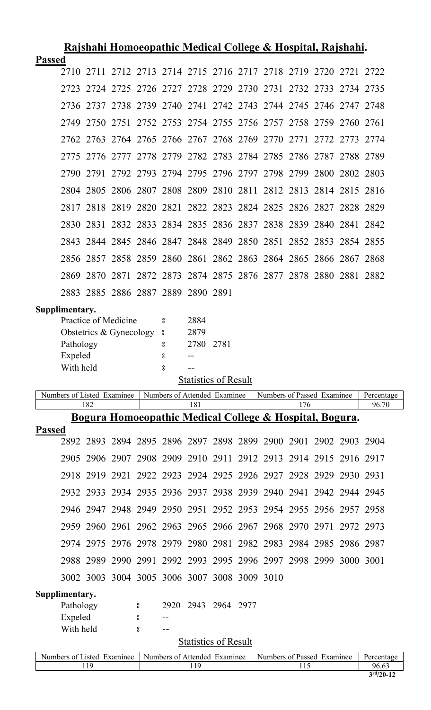|               | <u>Rajshahi Homoeopathic Medical College &amp; Hospital, Rajshahi.</u> |                                                 |  |             |                                                                  |                               |      |  |                                                         |                                   |  |           |                     |
|---------------|------------------------------------------------------------------------|-------------------------------------------------|--|-------------|------------------------------------------------------------------|-------------------------------|------|--|---------------------------------------------------------|-----------------------------------|--|-----------|---------------------|
| <b>Passed</b> |                                                                        |                                                 |  |             |                                                                  |                               |      |  |                                                         |                                   |  |           |                     |
|               | 2710                                                                   |                                                 |  |             | 2711 2712 2713 2714 2715 2716 2717 2718 2719 2720 2721 2722      |                               |      |  |                                                         |                                   |  |           |                     |
|               | 2.723                                                                  |                                                 |  |             | 2724 2725 2726 2727 2728 2729 2730 2731 2732 2733 2734 2735      |                               |      |  |                                                         |                                   |  |           |                     |
|               |                                                                        |                                                 |  |             | 2736 2737 2738 2739 2740 2741 2742 2743 2744 2745 2746 2747 2748 |                               |      |  |                                                         |                                   |  |           |                     |
|               | 2749                                                                   |                                                 |  |             | 2750 2751 2752 2753 2754 2755 2756 2757 2758 2759                |                               |      |  |                                                         |                                   |  | 2760 2761 |                     |
|               | 2762                                                                   |                                                 |  |             | 2763 2764 2765 2766 2767 2768 2769 2770 2771 2772 2773           |                               |      |  |                                                         |                                   |  |           | 2.774               |
|               | 2775                                                                   |                                                 |  |             | 2776 2777 2778 2779 2782 2783 2784 2785 2786 2787                |                               |      |  |                                                         |                                   |  | 2788 2789 |                     |
|               | 2790                                                                   | 2791                                            |  |             | 2792 2793 2794 2795 2796 2797 2798 2799 2800 2802 2803           |                               |      |  |                                                         |                                   |  |           |                     |
|               |                                                                        |                                                 |  |             | 2804 2805 2806 2807 2808 2809 2810 2811 2812 2813 2814 2815 2816 |                               |      |  |                                                         |                                   |  |           |                     |
|               | 2817                                                                   | 2818                                            |  |             | 2819 2820 2821 2822 2823 2824 2825 2826 2827 2828 2829           |                               |      |  |                                                         |                                   |  |           |                     |
|               |                                                                        |                                                 |  |             | 2830 2831 2832 2833 2834 2835 2836 2837 2838 2839 2840 2841 2842 |                               |      |  |                                                         |                                   |  |           |                     |
|               | 2843                                                                   |                                                 |  |             | 2844 2845 2846 2847 2848 2849 2850 2851 2852 2853                |                               |      |  |                                                         |                                   |  | 2854 2855 |                     |
|               |                                                                        |                                                 |  |             | 2856 2857 2858 2859 2860 2861 2862 2863 2864 2865 2866 2867 2868 |                               |      |  |                                                         |                                   |  |           |                     |
|               | 2869                                                                   |                                                 |  |             | 2870 2871 2872 2873 2874 2875 2876 2877 2878 2880 2881 2882      |                               |      |  |                                                         |                                   |  |           |                     |
|               |                                                                        |                                                 |  |             | 2883 2885 2886 2887 2889 2890 2891                               |                               |      |  |                                                         |                                   |  |           |                     |
|               | Supplimentary.<br>Pathology<br>Expeled<br>With held                    | Practice of Medicine<br>Obstetrics & Gynecology |  |             | 8<br>°<br>8<br>ိ<br>$_{\rm 8}^{\rm o}$                           | 2884<br>2879<br>2780<br>$- -$ | 2781 |  |                                                         |                                   |  |           |                     |
|               |                                                                        |                                                 |  |             |                                                                  | <b>Statistics of Result</b>   |      |  |                                                         |                                   |  |           |                     |
|               | Numbers of Listed Examinee                                             | 182                                             |  |             | Numbers of Attended Examinee                                     | 181                           |      |  |                                                         | Numbers of Passed Examinee<br>176 |  |           | Percentage<br>96.70 |
|               |                                                                        |                                                 |  |             |                                                                  |                               |      |  |                                                         |                                   |  |           |                     |
|               |                                                                        |                                                 |  |             |                                                                  |                               |      |  | Bogura Homoeopathic Medical College & Hospital, Bogura. |                                   |  |           |                     |
| <b>Passed</b> |                                                                        |                                                 |  |             |                                                                  |                               |      |  |                                                         |                                   |  |           |                     |
|               |                                                                        |                                                 |  |             | 2892 2893 2894 2895 2896 2897 2898 2899 2900 2901 2902 2903 2904 |                               |      |  |                                                         |                                   |  |           |                     |
|               | 2905                                                                   |                                                 |  |             | 2906 2907 2908 2909 2910 2911 2912 2913 2914 2915 2916 2917      |                               |      |  |                                                         |                                   |  |           |                     |
|               |                                                                        |                                                 |  |             | 2918 2919 2921 2922 2923 2924 2925 2926 2927 2928 2929 2930 2931 |                               |      |  |                                                         |                                   |  |           |                     |
|               |                                                                        |                                                 |  |             | 2932 2933 2934 2935 2936 2937 2938 2939 2940 2941 2942 2944 2945 |                               |      |  |                                                         |                                   |  |           |                     |
|               |                                                                        |                                                 |  |             | 2946 2947 2948 2949 2950 2951 2952 2953 2954 2955 2956 2957 2958 |                               |      |  |                                                         |                                   |  |           |                     |
|               |                                                                        |                                                 |  |             | 2959 2960 2961 2962 2963 2965 2966 2967 2968 2970 2971 2972 2973 |                               |      |  |                                                         |                                   |  |           |                     |
|               |                                                                        |                                                 |  |             | 2974 2975 2976 2978 2979 2980 2981 2982 2983 2984 2985 2986 2987 |                               |      |  |                                                         |                                   |  |           |                     |
|               |                                                                        | 2988 2989                                       |  |             | 2990 2991 2992 2993 2995 2996 2997 2998 2999                     |                               |      |  |                                                         |                                   |  | 3000 3001 |                     |
|               |                                                                        |                                                 |  |             | 3002 3003 3004 3005 3006 3007 3008 3009 3010                     |                               |      |  |                                                         |                                   |  |           |                     |
|               | Supplimentary.<br>Pathology<br>Expeled<br>With held                    |                                                 |  | °<br>°<br>8 | $\qquad \qquad -$<br>$-$                                         | 2920 2943 2964 2977           |      |  |                                                         |                                   |  |           |                     |
|               |                                                                        |                                                 |  |             |                                                                  | <b>Statistics of Result</b>   |      |  |                                                         |                                   |  |           |                     |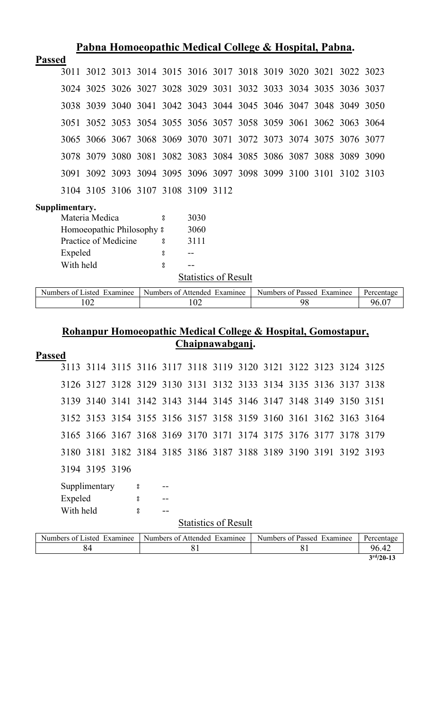| Pabna Homoeopathic Medical College & Hospital, Pabna.                                                  |          |      |  |    |  |  |       |  |  |  |  |  |
|--------------------------------------------------------------------------------------------------------|----------|------|--|----|--|--|-------|--|--|--|--|--|
| <b>Passed</b>                                                                                          |          |      |  |    |  |  |       |  |  |  |  |  |
| 3011 3012 3013 3014 3015 3016 3017 3018 3019 3020 3021 3022 3023                                       |          |      |  |    |  |  |       |  |  |  |  |  |
| 3024 3025 3026 3027 3028 3029 3031 3032 3033 3034 3035 3036 3037                                       |          |      |  |    |  |  |       |  |  |  |  |  |
| 3038 3039 3040 3041 3042 3043 3044 3045 3046 3047 3048 3049 3050                                       |          |      |  |    |  |  |       |  |  |  |  |  |
| 3051 3052 3053 3054 3055 3056 3057 3058 3059 3061 3062 3063 3064                                       |          |      |  |    |  |  |       |  |  |  |  |  |
| 3065 3066 3067 3068 3069 3070 3071 3072 3073 3074 3075 3076 3077                                       |          |      |  |    |  |  |       |  |  |  |  |  |
| 3078 3079 3080 3081 3082 3083 3084 3085 3086 3087 3088 3089 3090                                       |          |      |  |    |  |  |       |  |  |  |  |  |
| 3091 3092 3093 3094 3095 3096 3097 3098 3099 3100 3101 3102 3103                                       |          |      |  |    |  |  |       |  |  |  |  |  |
| 3104 3105 3106 3107 3108 3109 3112                                                                     |          |      |  |    |  |  |       |  |  |  |  |  |
| Supplimentary.                                                                                         |          |      |  |    |  |  |       |  |  |  |  |  |
| Materia Medica                                                                                         | å        | 3030 |  |    |  |  |       |  |  |  |  |  |
| Homoeopathic Philosophy $\frac{1}{2}$                                                                  |          | 3060 |  |    |  |  |       |  |  |  |  |  |
| Practice of Medicine                                                                                   | 8        | 3111 |  |    |  |  |       |  |  |  |  |  |
| Expeled                                                                                                | 8        |      |  |    |  |  |       |  |  |  |  |  |
| With held                                                                                              | $\bf{g}$ | $-1$ |  |    |  |  |       |  |  |  |  |  |
| <b>Statistics of Result</b>                                                                            |          |      |  |    |  |  |       |  |  |  |  |  |
| Numbers of Listed Examinee<br>Numbers of Passed Examinee<br>Numbers of Attended Examinee<br>Percentage |          |      |  |    |  |  |       |  |  |  |  |  |
| 102                                                                                                    |          |      |  | 98 |  |  | 96.07 |  |  |  |  |  |

### **Rohanpur Homoeopathic Medical College & Hospital, Gomostapur, Chaipnawabganj.**

| <b>Passed</b>             |                                                                  |  |   |  |  |  |  |  |  |  |  |  |  |
|---------------------------|------------------------------------------------------------------|--|---|--|--|--|--|--|--|--|--|--|--|
|                           | 3113 3114 3115 3116 3117 3118 3119 3120 3121 3122 3123 3124 3125 |  |   |  |  |  |  |  |  |  |  |  |  |
|                           |                                                                  |  |   |  |  |  |  |  |  |  |  |  |  |
|                           | 3126 3127 3128 3129 3130 3131 3132 3133 3134 3135 3136 3137 3138 |  |   |  |  |  |  |  |  |  |  |  |  |
|                           | 3139 3140 3141 3142 3143 3144 3145 3146 3147 3148 3149 3150 3151 |  |   |  |  |  |  |  |  |  |  |  |  |
|                           | 3152 3153 3154 3155 3156 3157 3158 3159 3160 3161 3162 3163 3164 |  |   |  |  |  |  |  |  |  |  |  |  |
|                           | 3165 3166 3167 3168 3169 3170 3171 3174 3175 3176 3177 3178 3179 |  |   |  |  |  |  |  |  |  |  |  |  |
|                           | 3180 3181 3182 3184 3185 3186 3187 3188 3189 3190 3191 3192 3193 |  |   |  |  |  |  |  |  |  |  |  |  |
|                           | 3194 3195 3196                                                   |  |   |  |  |  |  |  |  |  |  |  |  |
| Supplimentary<br>$\rm ^o$ |                                                                  |  |   |  |  |  |  |  |  |  |  |  |  |
| Expeled                   |                                                                  |  | 8 |  |  |  |  |  |  |  |  |  |  |
| With held                 |                                                                  |  | 8 |  |  |  |  |  |  |  |  |  |  |
|                           | <b>Statistics of Result</b>                                      |  |   |  |  |  |  |  |  |  |  |  |  |

| Numbers of Listed Examinee | Numbers of Attended Examinee | Numbers of Passed Examinee | Percentage  |
|----------------------------|------------------------------|----------------------------|-------------|
|                            |                              |                            | 96.42       |
|                            |                              |                            | $3rd/20-13$ |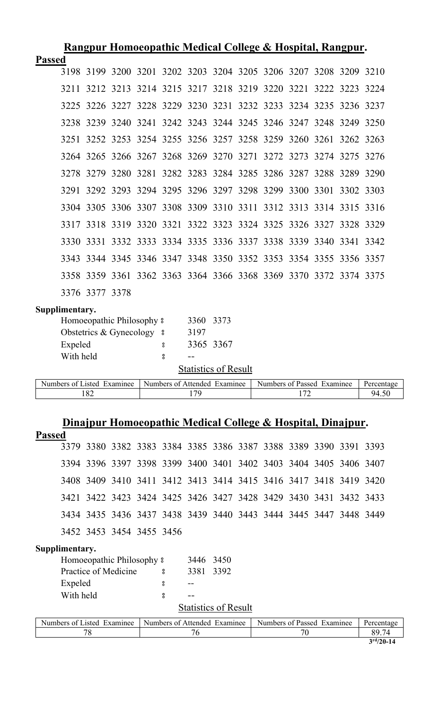|                                           | <u>Rangpur Homoeopathic Medical College &amp; Hospital, Rangpur.</u> |                |                            |  |                    |           |                              |  |                                                                  |     |  |           |            |
|-------------------------------------------|----------------------------------------------------------------------|----------------|----------------------------|--|--------------------|-----------|------------------------------|--|------------------------------------------------------------------|-----|--|-----------|------------|
| <b>Passed</b>                             |                                                                      |                |                            |  |                    |           |                              |  |                                                                  |     |  |           |            |
|                                           |                                                                      |                |                            |  |                    |           |                              |  | 3198 3199 3200 3201 3202 3203 3204 3205 3206 3207 3208 3209 3210 |     |  |           |            |
|                                           | 3211                                                                 |                |                            |  |                    |           |                              |  | 3212 3213 3214 3215 3217 3218 3219 3220 3221 3222 3223 3224      |     |  |           |            |
|                                           | 3225                                                                 |                |                            |  |                    |           |                              |  | 3226 3227 3228 3229 3230 3231 3232 3233 3234 3235 3236 3237      |     |  |           |            |
|                                           | 3238                                                                 |                |                            |  |                    |           |                              |  | 3239 3240 3241 3242 3243 3244 3245 3246 3247 3248 3249           |     |  |           | 3250       |
|                                           | 3251                                                                 |                |                            |  |                    |           |                              |  | 3252 3253 3254 3255 3256 3257 3258 3259 3260 3261 3262 3263      |     |  |           |            |
|                                           |                                                                      |                |                            |  |                    |           |                              |  | 3264 3265 3266 3267 3268 3269 3270 3271 3272 3273 3274 3275      |     |  |           | 3276       |
|                                           |                                                                      |                |                            |  |                    |           |                              |  | 3278 3279 3280 3281 3282 3283 3284 3285 3286 3287 3288 3289      |     |  |           | 3290       |
|                                           | 3291                                                                 |                |                            |  |                    |           |                              |  | 3292 3293 3294 3295 3296 3297 3298 3299 3300 3301                |     |  | 3302 3303 |            |
|                                           |                                                                      |                |                            |  |                    |           |                              |  | 3304 3305 3306 3307 3308 3309 3310 3311 3312 3313 3314 3315      |     |  |           | 3316       |
|                                           |                                                                      |                |                            |  |                    |           |                              |  | 3317 3318 3319 3320 3321 3322 3323 3324 3325 3326 3327 3328 3329 |     |  |           |            |
|                                           |                                                                      |                |                            |  |                    |           |                              |  | 3330 3331 3332 3333 3334 3335 3336 3337 3338 3339 3340 3341 3342 |     |  |           |            |
|                                           |                                                                      |                |                            |  |                    |           |                              |  | 3343 3344 3345 3346 3347 3348 3350 3352 3353 3354 3355 3356 3357 |     |  |           |            |
|                                           |                                                                      |                |                            |  |                    |           |                              |  | 3358 3359 3361 3362 3363 3364 3366 3368 3369 3370 3372 3374 3375 |     |  |           |            |
|                                           |                                                                      | 3376 3377 3378 |                            |  |                    |           |                              |  |                                                                  |     |  |           |            |
|                                           | Supplimentary.                                                       |                |                            |  |                    |           |                              |  |                                                                  |     |  |           |            |
|                                           |                                                                      |                | Homoeopathic Philosophy 8  |  |                    | 3360      | 3373                         |  |                                                                  |     |  |           |            |
|                                           |                                                                      |                | Obstetrics & Gynecology 8  |  |                    | 3197      |                              |  |                                                                  |     |  |           |            |
|                                           | Expeled                                                              |                |                            |  | 8                  |           | 3365 3367                    |  |                                                                  |     |  |           |            |
|                                           | With held                                                            |                |                            |  | 8                  | $- -$     |                              |  |                                                                  |     |  |           |            |
|                                           |                                                                      |                |                            |  |                    |           | <b>Statistics of Result</b>  |  |                                                                  |     |  |           |            |
|                                           |                                                                      |                | Numbers of Listed Examinee |  |                    |           | Numbers of Attended Examinee |  | Numbers of Passed Examinee                                       |     |  |           | Percentage |
|                                           |                                                                      | 182            |                            |  |                    | 179       |                              |  |                                                                  | 172 |  |           | 94.50      |
|                                           |                                                                      |                |                            |  |                    |           |                              |  |                                                                  |     |  |           |            |
| <b>Passed</b>                             |                                                                      |                |                            |  |                    |           |                              |  | Dinajpur Homoeopathic Medical College & Hospital, Dinajpur.      |     |  |           |            |
|                                           |                                                                      |                |                            |  |                    |           |                              |  | 3379 3380 3382 3383 3384 3385 3386 3387 3388 3389 3390 3391 3393 |     |  |           |            |
|                                           |                                                                      |                |                            |  |                    |           |                              |  | 3394 3396 3397 3398 3399 3400 3401 3402 3403 3404 3405 3406 3407 |     |  |           |            |
|                                           |                                                                      |                |                            |  |                    |           |                              |  | 3408 3409 3410 3411 3412 3413 3414 3415 3416 3417 3418 3419 3420 |     |  |           |            |
|                                           |                                                                      |                |                            |  |                    |           |                              |  | 3421 3422 3423 3424 3425 3426 3427 3428 3429 3430 3431 3432 3433 |     |  |           |            |
|                                           |                                                                      |                |                            |  |                    |           |                              |  | 3434 3435 3436 3437 3438 3439 3440 3443 3444 3445 3447 3448 3449 |     |  |           |            |
|                                           |                                                                      |                | 3452 3453 3454 3455 3456   |  |                    |           |                              |  |                                                                  |     |  |           |            |
|                                           | Supplimentary.                                                       |                |                            |  |                    |           |                              |  |                                                                  |     |  |           |            |
|                                           |                                                                      |                | Homoeopathic Philosophy 8  |  |                    | 3446 3450 |                              |  |                                                                  |     |  |           |            |
| Practice of Medicine<br>3381<br>3392<br>8 |                                                                      |                |                            |  |                    |           |                              |  |                                                                  |     |  |           |            |
|                                           | Expeled<br>8                                                         |                |                            |  |                    |           |                              |  |                                                                  |     |  |           |            |
|                                           | With held                                                            |                |                            |  | $_{\rm o}^{\rm o}$ |           |                              |  |                                                                  |     |  |           |            |
|                                           |                                                                      |                |                            |  |                    |           | <b>Statistics of Result</b>  |  |                                                                  |     |  |           |            |
|                                           |                                                                      |                | Numbers of Listed Examinee |  |                    |           | Numbers of Attended Examinee |  | Numbers of Passed Examinee                                       |     |  |           | Percentage |
|                                           |                                                                      | 78             |                            |  |                    | 76        |                              |  |                                                                  | 70  |  |           | 89.74      |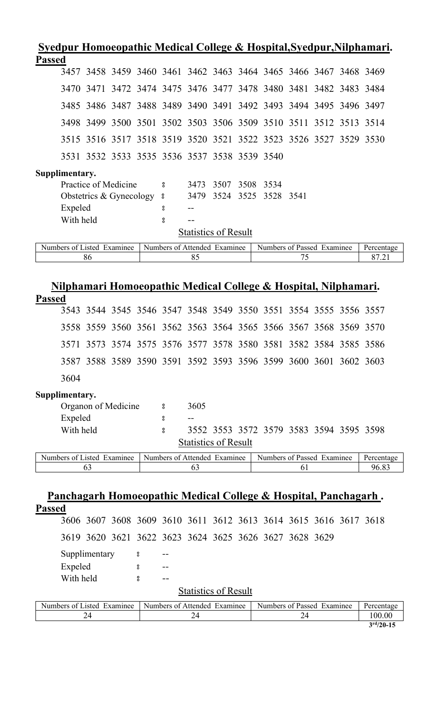| Syedpur Homoeopathic Medical College & Hospital, Syedpur, Nilphamari. |                      |               |                                                   |   |                         |                                    |                   |      |                                                                             |      |  |                     |
|-----------------------------------------------------------------------|----------------------|---------------|---------------------------------------------------|---|-------------------------|------------------------------------|-------------------|------|-----------------------------------------------------------------------------|------|--|---------------------|
| <b>Passed</b>                                                         |                      |               |                                                   |   |                         |                                    |                   |      |                                                                             |      |  |                     |
|                                                                       |                      |               |                                                   |   |                         |                                    |                   |      | 3457 3458 3459 3460 3461 3462 3463 3464 3465 3466 3467 3468 3469            |      |  |                     |
| 3470                                                                  |                      | 3471          |                                                   |   |                         |                                    |                   |      | 3472 3474 3475 3476 3477 3478 3480 3481 3482 3483 3484                      |      |  |                     |
| 3485                                                                  |                      |               |                                                   |   |                         |                                    |                   |      | 3486 3487 3488 3489 3490 3491 3492 3493 3494 3495 3496 3497                 |      |  |                     |
|                                                                       |                      |               |                                                   |   |                         |                                    |                   |      | 3498 3499 3500 3501 3502 3503 3506 3509 3510 3511 3512 3513 3514            |      |  |                     |
| 3515                                                                  |                      |               |                                                   |   |                         |                                    |                   |      | 3516 3517 3518 3519 3520 3521 3522 3523 3526 3527 3529 3530                 |      |  |                     |
|                                                                       |                      |               |                                                   |   |                         |                                    |                   |      | 3531 3532 3533 3535 3536 3537 3538 3539 3540                                |      |  |                     |
| Supplimentary.                                                        | Expeled<br>With held |               | Practice of Medicine<br>Obstetrics & Gynecology 8 |   | ိ<br>°<br>8             | 3473<br>3479                       | 3507<br>3524 3525 | 3508 | 3534<br>3528                                                                | 3541 |  |                     |
|                                                                       |                      |               |                                                   |   |                         | <b>Statistics of Result</b>        |                   |      |                                                                             |      |  |                     |
| Numbers of Listed Examinee                                            |                      | 86            |                                                   |   |                         | Numbers of Attended Examinee<br>85 |                   |      | Numbers of Passed Examinee                                                  | 75   |  | Percentage<br>87.21 |
|                                                                       |                      |               |                                                   |   |                         |                                    |                   |      |                                                                             |      |  |                     |
|                                                                       |                      |               |                                                   |   |                         |                                    |                   |      | <u>Nilphamari Homoeopathic Medical College &amp; Hospital, Nilphamari.</u>  |      |  |                     |
| <b>Passed</b>                                                         |                      |               |                                                   |   |                         |                                    |                   |      |                                                                             |      |  |                     |
|                                                                       |                      |               |                                                   |   |                         |                                    |                   |      | 3543 3544 3545 3546 3547 3548 3549 3550 3551 3554 3555 3556 3557            |      |  |                     |
|                                                                       |                      | 3558 3559     |                                                   |   |                         |                                    |                   |      | 3560 3561 3562 3563 3564 3565 3566 3567 3568 3569 3570                      |      |  |                     |
| 3571                                                                  |                      | 3573          | 3574 3575                                         |   |                         |                                    |                   |      | 3576 3577 3578 3580 3581 3582 3584 3585 3586                                |      |  |                     |
|                                                                       |                      |               |                                                   |   |                         |                                    |                   |      | 3587 3588 3589 3590 3591 3592 3593 3596 3599 3600 3601 3602 3603            |      |  |                     |
| 3604                                                                  |                      |               |                                                   |   |                         |                                    |                   |      |                                                                             |      |  |                     |
| Supplimentary.                                                        |                      |               |                                                   |   |                         |                                    |                   |      |                                                                             |      |  |                     |
|                                                                       |                      |               | Organon of Medicine                               |   | 8                       | 3605                               |                   |      |                                                                             |      |  |                     |
|                                                                       | Expeled<br>With held |               |                                                   |   | °<br>$_{\rm 8}^{\rm o}$ |                                    |                   |      | 3552 3553 3572 3579 3583 3594 3595 3598                                     |      |  |                     |
|                                                                       |                      |               |                                                   |   |                         | <b>Statistics of Result</b>        |                   |      |                                                                             |      |  |                     |
| Numbers of Listed Examinee                                            |                      |               |                                                   |   |                         | Numbers of Attended Examinee       |                   |      | Numbers of Passed Examinee                                                  |      |  | Percentage          |
|                                                                       |                      | 63            |                                                   |   |                         | 63                                 |                   |      |                                                                             | 61   |  | 96.83               |
|                                                                       |                      |               |                                                   |   |                         |                                    |                   |      |                                                                             |      |  |                     |
|                                                                       |                      |               |                                                   |   |                         |                                    |                   |      | <u> Panchagarh Homoeopathic Medical College &amp; Hospital, Panchagarh.</u> |      |  |                     |
| <b>Passed</b>                                                         |                      |               |                                                   |   |                         |                                    |                   |      | 3606 3607 3608 3609 3610 3611 3612 3613 3614 3615 3616 3617 3618            |      |  |                     |
|                                                                       |                      |               |                                                   |   |                         |                                    |                   |      | 3619 3620 3621 3622 3623 3624 3625 3626 3627 3628 3629                      |      |  |                     |
|                                                                       |                      | Supplimentary |                                                   | 8 |                         |                                    |                   |      |                                                                             |      |  |                     |
|                                                                       | Expeled              |               |                                                   | ° |                         |                                    |                   |      |                                                                             |      |  |                     |
|                                                                       | With held            |               |                                                   | å |                         |                                    |                   |      |                                                                             |      |  |                     |
|                                                                       |                      |               |                                                   |   |                         | <b>Statistics of Result</b>        |                   |      |                                                                             |      |  |                     |
| Numbers of Listed Examinee                                            |                      |               |                                                   |   |                         | Numbers of Attended Examinee       |                   |      | Numbers of Passed Examinee                                                  |      |  | Percentage          |
|                                                                       |                      | 24            |                                                   |   |                         | 24                                 |                   |      |                                                                             | 24   |  | 100.00              |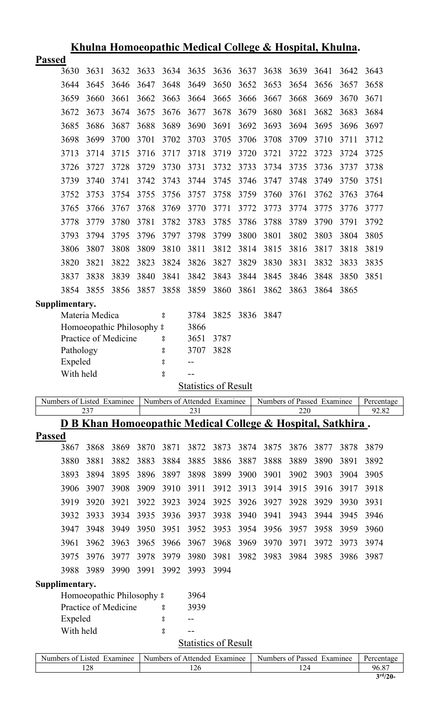|               |                                               | <u> Khulna Homoeopathic Medical College &amp; Hospital, Khulna.</u>    |      |      |      |                                     |      |      |      |      |                            |      |                     |
|---------------|-----------------------------------------------|------------------------------------------------------------------------|------|------|------|-------------------------------------|------|------|------|------|----------------------------|------|---------------------|
| <b>Passed</b> |                                               |                                                                        |      |      |      |                                     |      |      |      |      |                            |      |                     |
|               | 3630                                          | 3631                                                                   | 3632 | 3633 | 3634 | 3635                                | 3636 | 3637 | 3638 | 3639 | 3641                       | 3642 | 3643                |
|               | 3644                                          | 3645                                                                   | 3646 | 3647 | 3648 | 3649                                | 3650 | 3652 | 3653 | 3654 | 3656                       | 3657 | 3658                |
|               | 3659                                          | 3660                                                                   | 3661 | 3662 | 3663 | 3664                                | 3665 | 3666 | 3667 | 3668 | 3669                       | 3670 | 3671                |
|               | 3672                                          | 3673                                                                   | 3674 | 3675 | 3676 | 3677                                | 3678 | 3679 | 3680 | 3681 | 3682                       | 3683 | 3684                |
|               | 3685                                          | 3686                                                                   | 3687 | 3688 | 3689 | 3690                                | 3691 | 3692 | 3693 | 3694 | 3695                       | 3696 | 3697                |
|               | 3698                                          | 3699                                                                   | 3700 | 3701 | 3702 | 3703                                | 3705 | 3706 | 3708 | 3709 | 3710                       | 3711 | 3712                |
|               | 3713                                          | 3714                                                                   | 3715 | 3716 | 3717 | 3718                                | 3719 | 3720 | 3721 | 3722 | 3723                       | 3724 | 3725                |
|               | 3726                                          | 3727                                                                   | 3728 | 3729 | 3730 | 3731                                | 3732 | 3733 | 3734 | 3735 | 3736                       | 3737 | 3738                |
|               | 3739                                          | 3740                                                                   | 3741 | 3742 | 3743 | 3744                                | 3745 | 3746 | 3747 | 3748 | 3749                       | 3750 | 3751                |
|               | 3752                                          | 3753                                                                   | 3754 | 3755 | 3756 | 3757                                | 3758 | 3759 | 3760 | 3761 | 3762                       | 3763 | 3764                |
|               | 3765                                          | 3766                                                                   | 3767 | 3768 | 3769 | 3770                                | 3771 | 3772 | 3773 | 3774 | 3775                       | 3776 | 3777                |
|               | 3778                                          | 3779                                                                   | 3780 | 3781 | 3782 | 3783                                | 3785 | 3786 | 3788 | 3789 | 3790                       | 3791 | 3792                |
|               | 3793                                          | 3794                                                                   | 3795 | 3796 | 3797 | 3798                                | 3799 | 3800 | 3801 | 3802 | 3803                       | 3804 | 3805                |
|               | 3806                                          | 3807                                                                   | 3808 | 3809 | 3810 | 3811                                | 3812 | 3814 | 3815 | 3816 | 3817                       | 3818 | 3819                |
|               | 3820                                          | 3821                                                                   | 3822 | 3823 | 3824 | 3826                                | 3827 | 3829 | 3830 | 3831 | 3832                       | 3833 | 3835                |
|               | 3837                                          | 3838                                                                   | 3839 | 3840 | 3841 | 3842                                | 3843 | 3844 | 3845 | 3846 | 3848                       | 3850 | 3851                |
|               | 3854                                          | 3855                                                                   | 3856 | 3857 | 3858 | 3859                                | 3860 | 3861 | 3862 | 3863 | 3864                       | 3865 |                     |
|               | Supplimentary.                                |                                                                        |      |      |      |                                     |      |      |      |      |                            |      |                     |
|               |                                               | Materia Medica                                                         |      |      | 8    | 3784                                | 3825 | 3836 | 3847 |      |                            |      |                     |
|               |                                               | Homoeopathic Philosophy 8                                              |      |      |      | 3866                                |      |      |      |      |                            |      |                     |
|               |                                               | Practice of Medicine                                                   |      |      | 8    | 3651                                | 3787 |      |      |      |                            |      |                     |
|               | Pathology                                     |                                                                        |      |      | 8    | 3707                                | 3828 |      |      |      |                            |      |                     |
|               | Expeled                                       |                                                                        |      |      | 8    |                                     |      |      |      |      |                            |      |                     |
|               | With held                                     |                                                                        |      |      | 8    |                                     |      |      |      |      |                            |      |                     |
|               |                                               |                                                                        |      |      |      | <b>Statistics of Result</b>         |      |      |      |      |                            |      |                     |
|               |                                               | Numbers of Listed Examinee<br>237                                      |      |      |      | Numbers of Attended Examinee<br>231 |      |      |      | 220  | Numbers of Passed Examinee |      | Percentage<br>92.82 |
|               |                                               | <u>D B Khan Homoeopathic Medical College &amp; Hospital, Satkhira.</u> |      |      |      |                                     |      |      |      |      |                            |      |                     |
| <b>Passed</b> |                                               |                                                                        |      |      |      |                                     |      |      |      |      |                            |      |                     |
|               | 3867                                          | 3868                                                                   | 3869 | 3870 | 3871 | 3872                                | 3873 | 3874 | 3875 | 3876 | 3877                       | 3878 | 3879                |
|               | 3880                                          | 3881                                                                   | 3882 | 3883 | 3884 | 3885                                | 3886 | 3887 | 3888 | 3889 | 3890                       | 3891 | 3892                |
|               | 3893                                          | 3894                                                                   | 3895 | 3896 | 3897 | 3898                                | 3899 | 3900 | 3901 | 3902 | 3903                       | 3904 | 3905                |
|               | 3906                                          | 3907                                                                   | 3908 | 3909 | 3910 | 3911                                | 3912 | 3913 | 3914 | 3915 | 3916                       | 3917 | 3918                |
|               | 3919                                          | 3920                                                                   | 3921 | 3922 | 3923 | 3924                                | 3925 | 3926 | 3927 | 3928 | 3929                       | 3930 | 3931                |
|               | 3932                                          | 3933                                                                   | 3934 | 3935 | 3936 | 3937                                | 3938 | 3940 | 3941 | 3943 | 3944                       | 3945 | 3946                |
|               | 3947                                          | 3948                                                                   | 3949 | 3950 | 3951 | 3952                                | 3953 | 3954 | 3956 | 3957 | 3958                       | 3959 | 3960                |
|               | 3961                                          | 3962                                                                   | 3963 | 3965 | 3966 | 3967                                | 3968 | 3969 | 3970 | 3971 | 3972                       | 3973 | 3974                |
|               | 3975                                          | 3976                                                                   | 3977 | 3978 | 3979 | 3980                                | 3981 | 3982 | 3983 | 3984 | 3985                       | 3986 | 3987                |
|               | 3988                                          | 3989                                                                   | 3990 | 3991 | 3992 | 3993                                | 3994 |      |      |      |                            |      |                     |
|               | Supplimentary.                                |                                                                        |      |      |      |                                     |      |      |      |      |                            |      |                     |
|               | Homoeopathic Philosophy $\frac{1}{2}$<br>3964 |                                                                        |      |      |      |                                     |      |      |      |      |                            |      |                     |
|               | Practice of Medicine<br>3939<br>8             |                                                                        |      |      |      |                                     |      |      |      |      |                            |      |                     |
|               | Expeled                                       |                                                                        |      |      | 8    | --                                  |      |      |      |      |                            |      |                     |
|               | With held<br>8                                |                                                                        |      |      |      |                                     |      |      |      |      |                            |      |                     |
|               |                                               |                                                                        |      |      |      | <b>Statistics of Result</b>         |      |      |      |      |                            |      |                     |
|               |                                               | Numbers of Listed Examinee Numbers of Attended Examinee                |      |      |      |                                     |      |      |      |      | Numbers of Passed Examinee |      | Percentage          |

| Examinee<br>Numbers of<br>usted. | Numbers of<br>Examinee<br>Affended | Examinee<br>Numbers of<br>Passed | Percentage             |
|----------------------------------|------------------------------------|----------------------------------|------------------------|
| $\bigcap$<br>1∠0                 | 1 4 U                              | $-2$                             | 96.8                   |
|                                  |                                    |                                  | $\Delta$ rd $\Delta$ o |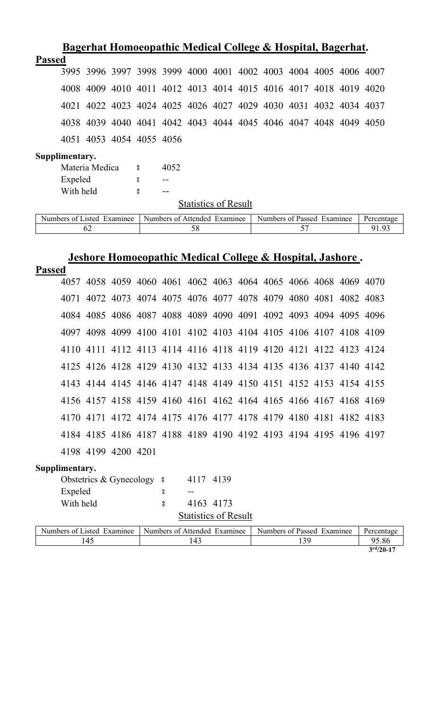|               |                             |                            |          |                   |      |  |                              |  | Bagerhat Homoeopathic Medical College & Hospital, Bagerhat.      |  |  |  |            |  |
|---------------|-----------------------------|----------------------------|----------|-------------------|------|--|------------------------------|--|------------------------------------------------------------------|--|--|--|------------|--|
| <b>Passed</b> |                             |                            |          |                   |      |  |                              |  |                                                                  |  |  |  |            |  |
|               |                             |                            |          |                   |      |  |                              |  | 3995 3996 3997 3998 3999 4000 4001 4002 4003 4004 4005 4006 4007 |  |  |  |            |  |
|               |                             |                            |          |                   |      |  |                              |  | 4008 4009 4010 4011 4012 4013 4014 4015 4016 4017 4018 4019 4020 |  |  |  |            |  |
|               |                             |                            |          |                   |      |  |                              |  | 4021 4022 4023 4024 4025 4026 4027 4029 4030 4031 4032 4034 4037 |  |  |  |            |  |
|               |                             |                            |          |                   |      |  |                              |  | 4038 4039 4040 4041 4042 4043 4044 4045 4046 4047 4048 4049 4050 |  |  |  |            |  |
|               |                             | 4051 4053 4054 4055 4056   |          |                   |      |  |                              |  |                                                                  |  |  |  |            |  |
|               | Supplimentary.              |                            |          |                   |      |  |                              |  |                                                                  |  |  |  |            |  |
|               |                             | Materia Medica             | $\sim$ 8 |                   | 4052 |  |                              |  |                                                                  |  |  |  |            |  |
|               | Expeled                     |                            |          | 8                 |      |  |                              |  |                                                                  |  |  |  |            |  |
|               | With held                   |                            |          | 8                 |      |  |                              |  |                                                                  |  |  |  |            |  |
|               | <b>Statistics of Result</b> |                            |          |                   |      |  |                              |  |                                                                  |  |  |  |            |  |
|               |                             | Numbers of Listed Examinee |          |                   |      |  | Numbers of Attended Examinee |  | Numbers of Passed Examinee                                       |  |  |  | Percentage |  |
|               |                             | 62                         |          | 57<br>58<br>91.93 |      |  |                              |  |                                                                  |  |  |  |            |  |

# **Jeshore Homoeopathic Medical College & Hospital, Jashore .**

| <b>Passed</b> |                                                                  |  |  |  |  |  |  |
|---------------|------------------------------------------------------------------|--|--|--|--|--|--|
|               | 4057 4058 4059 4060 4061 4062 4063 4064 4065 4066 4068 4069 4070 |  |  |  |  |  |  |
|               | 4071 4072 4073 4074 4075 4076 4077 4078 4079 4080 4081 4082 4083 |  |  |  |  |  |  |
|               | 4084 4085 4086 4087 4088 4089 4090 4091 4092 4093 4094 4095 4096 |  |  |  |  |  |  |
|               | 4097 4098 4099 4100 4101 4102 4103 4104 4105 4106 4107 4108 4109 |  |  |  |  |  |  |
|               | 4110 4111 4112 4113 4114 4116 4118 4119 4120 4121 4122 4123 4124 |  |  |  |  |  |  |
|               | 4125 4126 4128 4129 4130 4132 4133 4134 4135 4136 4137 4140 4142 |  |  |  |  |  |  |
|               | 4143 4144 4145 4146 4147 4148 4149 4150 4151 4152 4153 4154 4155 |  |  |  |  |  |  |
|               | 4156 4157 4158 4159 4160 4161 4162 4164 4165 4166 4167 4168 4169 |  |  |  |  |  |  |
|               | 4170 4171 4172 4174 4175 4176 4177 4178 4179 4180 4181 4182 4183 |  |  |  |  |  |  |
|               | 4184 4185 4186 4187 4188 4189 4190 4192 4193 4194 4195 4196 4197 |  |  |  |  |  |  |
|               | 4198 4199 4200 4201                                              |  |  |  |  |  |  |

# **Supplimentary.**

| Obstetrics & Gynecology 8 |              | 4117 4139                   |
|---------------------------|--------------|-----------------------------|
| Expeled                   |              |                             |
| With held                 | $\mathbf{S}$ | 4163 4173                   |
|                           |              | <b>Statistics of Result</b> |

| Numbers of Listed<br>Examinee | Numbers of Attended<br>Examinee | Numbers of Passed Examinee | Percentage  |
|-------------------------------|---------------------------------|----------------------------|-------------|
| $^{\circ}4.$                  | 143                             | 2C                         | 95.86       |
|                               |                                 |                            | $3rd/20-17$ |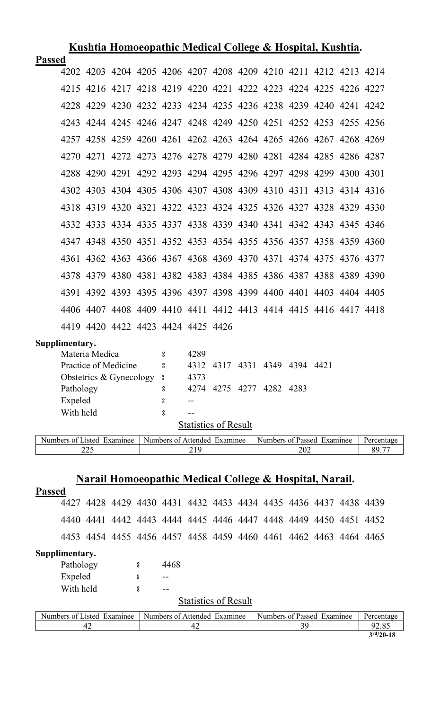|               | Kushtia Homoeopathic Medical College & Hospital, Kushtia. |                |                                    |  |  |  |  |                                                                  |  |  |                |      |
|---------------|-----------------------------------------------------------|----------------|------------------------------------|--|--|--|--|------------------------------------------------------------------|--|--|----------------|------|
| <b>Passed</b> |                                                           |                |                                    |  |  |  |  |                                                                  |  |  |                |      |
|               |                                                           |                |                                    |  |  |  |  | 4202 4203 4204 4205 4206 4207 4208 4209 4210 4211 4212 4213 4214 |  |  |                |      |
|               |                                                           | 4215 4216 4217 |                                    |  |  |  |  | 4218 4219 4220 4221 4222 4223 4224 4225 4226 4227                |  |  |                |      |
|               |                                                           |                |                                    |  |  |  |  | 4228 4229 4230 4232 4233 4234 4235 4236 4238 4239 4240 4241 4242 |  |  |                |      |
|               | 42.43                                                     |                | 4244 4245                          |  |  |  |  | 4246 4247 4248 4249 4250 4251 4252 4253 4255 4256                |  |  |                |      |
|               |                                                           |                |                                    |  |  |  |  | 4257 4258 4259 4260 4261 4262 4263 4264 4265 4266 4267 4268 4269 |  |  |                |      |
|               |                                                           |                |                                    |  |  |  |  | 4270 4271 4272 4273 4276 4278 4279 4280 4281 4284 4285 4286 4287 |  |  |                |      |
|               |                                                           |                |                                    |  |  |  |  | 4288 4290 4291 4292 4293 4294 4295 4296 4297 4298 4299 4300 4301 |  |  |                |      |
|               |                                                           |                |                                    |  |  |  |  | 4302 4303 4304 4305 4306 4307 4308 4309 4310 4311 4313 4314 4316 |  |  |                |      |
|               |                                                           |                |                                    |  |  |  |  | 4318 4319 4320 4321 4322 4323 4324 4325 4326 4327 4328 4329 4330 |  |  |                |      |
|               |                                                           |                |                                    |  |  |  |  | 4332 4333 4334 4335 4337 4338 4339 4340 4341 4342 4343 4345 4346 |  |  |                |      |
|               | 4347                                                      |                |                                    |  |  |  |  | 4348 4350 4351 4352 4353 4354 4355 4356 4357 4358 4359 4360      |  |  |                |      |
|               | 4361                                                      |                |                                    |  |  |  |  | 4362 4363 4366 4367 4368 4369 4370 4371 4374 4375 4376           |  |  |                | 4377 |
|               | 4378                                                      | 4379           | 4380                               |  |  |  |  | 4381 4382 4383 4384 4385 4386 4387 4388 4389                     |  |  |                | 4390 |
|               | 4391                                                      |                | 4392 4393                          |  |  |  |  | 4395 4396 4397 4398 4399 4400 4401                               |  |  | 4403 4404 4405 |      |
|               |                                                           |                |                                    |  |  |  |  | 4406 4407 4408 4409 4410 4411 4412 4413 4414 4415 4416 4417 4418 |  |  |                |      |
|               |                                                           |                | 4419 4420 4422 4423 4424 4425 4426 |  |  |  |  |                                                                  |  |  |                |      |
|               | Supplimentary.                                            |                |                                    |  |  |  |  |                                                                  |  |  |                |      |

| Materia Medica            | ႙ | 4289                          |
|---------------------------|---|-------------------------------|
| Practice of Medicine      | 8 | 4312 4317 4331 4349 4394 4421 |
| Obstetrics & Gynecology 8 |   | 4373                          |
| Pathology                 | 8 | 4275 4277 4282 4283<br>42.74  |
| Expeled                   | 8 |                               |
| With held                 | 8 |                               |
|                           |   | <b>Statistics of Result</b>   |

| $\sim$ $ \sim$<br>Numbers of<br>Examinee<br>usted. | Attended<br>Numbers of<br>Examinee | Numbers of<br>Examinee<br>Passed | Percentage               |
|----------------------------------------------------|------------------------------------|----------------------------------|--------------------------|
| $\mathbf{A} \mathbf{A} \mathbf{F}$                 | 10                                 | 202                              | oΩ                       |
| ں سے س                                             | <u> i j</u>                        |                                  | $\overline{\phantom{m}}$ |

# **Narail Homoeopathic Medical College & Hospital, Narail.**

| <b>Passed</b>               |    |                                                                  |   |                              |    |  |  |  |    |                            |            |
|-----------------------------|----|------------------------------------------------------------------|---|------------------------------|----|--|--|--|----|----------------------------|------------|
| 4427                        |    | 4428 4429 4430 4431 4432 4433 4434 4435 4436 4437 4438 4439      |   |                              |    |  |  |  |    |                            |            |
|                             |    | 4440 4441 4442 4443 4444 4445 4446 4447 4448 4449 4450 4451 4452 |   |                              |    |  |  |  |    |                            |            |
|                             |    | 4453 4454 4455 4456 4457 4458 4459 4460 4461 4462 4463 4464 4465 |   |                              |    |  |  |  |    |                            |            |
| Supplimentary.              |    |                                                                  |   |                              |    |  |  |  |    |                            |            |
| Pathology                   |    |                                                                  | 8 | 4468                         |    |  |  |  |    |                            |            |
| Expeled                     |    |                                                                  | 8 | $- -$                        |    |  |  |  |    |                            |            |
| With held                   |    |                                                                  | 8 | --                           |    |  |  |  |    |                            |            |
| <b>Statistics of Result</b> |    |                                                                  |   |                              |    |  |  |  |    |                            |            |
| Numbers of Listed Examinee  |    |                                                                  |   | Numbers of Attended Examinee |    |  |  |  |    | Numbers of Passed Examinee | Percentage |
|                             | 42 |                                                                  |   |                              | 42 |  |  |  | 39 |                            | 92.85      |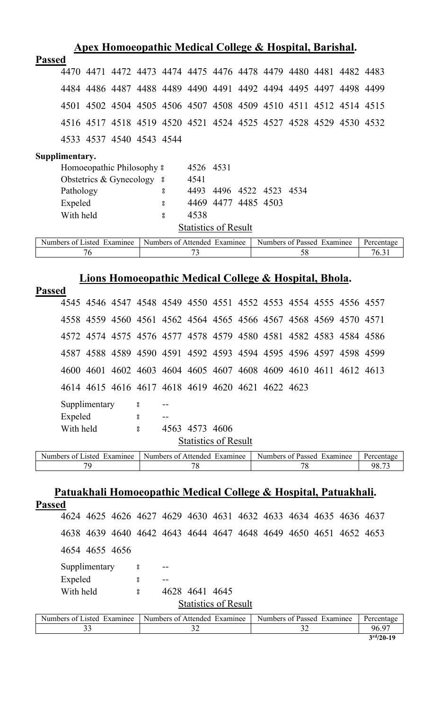| <u>Apex Homoeopathic Medical College &amp; Hospital, Barishal.</u>                          |                                                                                           |   |                              |  |  |                            |    |  |  |                     |
|---------------------------------------------------------------------------------------------|-------------------------------------------------------------------------------------------|---|------------------------------|--|--|----------------------------|----|--|--|---------------------|
| <b>Passed</b>                                                                               |                                                                                           |   |                              |  |  |                            |    |  |  |                     |
| 4470 4471 4472 4473 4474 4475 4476 4478 4479 4480 4481 4482 4483                            |                                                                                           |   |                              |  |  |                            |    |  |  |                     |
| 4484 4486 4487 4488 4489 4490 4491 4492 4494 4495 4497 4498 4499                            |                                                                                           |   |                              |  |  |                            |    |  |  |                     |
| 4501 4502 4504 4505 4506 4507 4508 4509 4510 4511 4512 4514 4515                            |                                                                                           |   |                              |  |  |                            |    |  |  |                     |
| 4516 4517 4518 4519 4520 4521 4524 4525 4527 4528 4529 4530 4532                            |                                                                                           |   |                              |  |  |                            |    |  |  |                     |
| 4533 4537 4540 4543 4544                                                                    |                                                                                           |   |                              |  |  |                            |    |  |  |                     |
| Supplimentary.                                                                              |                                                                                           |   |                              |  |  |                            |    |  |  |                     |
| Homoeopathic Philosophy 8                                                                   |                                                                                           |   | 4526 4531                    |  |  |                            |    |  |  |                     |
| Obstetrics & Gynecology 8                                                                   |                                                                                           |   | 4541                         |  |  |                            |    |  |  |                     |
| Pathology                                                                                   |                                                                                           | 8 | 4493                         |  |  | 4496 4522 4523 4534        |    |  |  |                     |
| Expeled                                                                                     |                                                                                           | ° |                              |  |  | 4469 4477 4485 4503        |    |  |  |                     |
| With held                                                                                   |                                                                                           | 8 | 4538                         |  |  |                            |    |  |  |                     |
|                                                                                             |                                                                                           |   |                              |  |  |                            |    |  |  |                     |
|                                                                                             | <b>Statistics of Result</b><br>Numbers of Attended Examinee<br>Numbers of Passed Examinee |   |                              |  |  |                            |    |  |  |                     |
| Numbers of Listed Examinee<br>76                                                            |                                                                                           |   | 73                           |  |  |                            | 58 |  |  | Percentage<br>76.31 |
|                                                                                             |                                                                                           |   |                              |  |  |                            |    |  |  |                     |
|                                                                                             |                                                                                           |   |                              |  |  |                            |    |  |  |                     |
| Lions Homoeopathic Medical College & Hospital, Bhola.                                       |                                                                                           |   |                              |  |  |                            |    |  |  |                     |
| <b>Passed</b>                                                                               |                                                                                           |   |                              |  |  |                            |    |  |  |                     |
| 4545 4546 4547 4548 4549 4550 4551 4552 4553 4554 4555 4556 4557                            |                                                                                           |   |                              |  |  |                            |    |  |  |                     |
| 4558 4559 4560 4561 4562 4564 4565 4566 4567 4568 4569 4570 4571                            |                                                                                           |   |                              |  |  |                            |    |  |  |                     |
| 4572 4574 4575 4576 4577 4578 4579 4580 4581 4582 4583 4584 4586                            |                                                                                           |   |                              |  |  |                            |    |  |  |                     |
| 4587 4588 4589 4590 4591 4592 4593 4594 4595 4596 4597 4598 4599                            |                                                                                           |   |                              |  |  |                            |    |  |  |                     |
| 4600 4601 4602 4603 4604 4605 4607 4608 4609 4610 4611 4612 4613                            |                                                                                           |   |                              |  |  |                            |    |  |  |                     |
| 4614 4615 4616 4617 4618 4619 4620 4621 4622 4623                                           |                                                                                           |   |                              |  |  |                            |    |  |  |                     |
| Supplimentary                                                                               | $\rm ^o$                                                                                  |   |                              |  |  |                            |    |  |  |                     |
| Expeled                                                                                     | 8                                                                                         |   |                              |  |  |                            |    |  |  |                     |
| With held                                                                                   | $\overline{\mathbf{c}}$                                                                   |   | 4563 4573 4606               |  |  |                            |    |  |  |                     |
|                                                                                             |                                                                                           |   |                              |  |  |                            |    |  |  |                     |
|                                                                                             |                                                                                           |   | <b>Statistics of Result</b>  |  |  |                            |    |  |  |                     |
| Numbers of Listed Examinee                                                                  |                                                                                           |   | Numbers of Attended Examinee |  |  | Numbers of Passed Examinee |    |  |  | Percentage          |
| 79                                                                                          |                                                                                           |   | 78                           |  |  |                            | 78 |  |  | 98.73               |
| <u>Patuakhali Homoeopathic Medical College &amp; Hospital, Patuakhali.</u><br><b>Passed</b> |                                                                                           |   |                              |  |  |                            |    |  |  |                     |

| 4624 4625 4626 4627 4629 4630 4631 4632 4633 4634 4635 4636 4637 |   |                              |  |                            |  |            |  |  |  |
|------------------------------------------------------------------|---|------------------------------|--|----------------------------|--|------------|--|--|--|
| 4638 4639 4640 4642 4643 4644 4647 4648 4649 4650 4651 4652 4653 |   |                              |  |                            |  |            |  |  |  |
| 4654 4655 4656                                                   |   |                              |  |                            |  |            |  |  |  |
| Supplimentary                                                    | ိ |                              |  |                            |  |            |  |  |  |
| Expeled                                                          | 8 |                              |  |                            |  |            |  |  |  |
| With held                                                        | 8 | 4628 4641 4645               |  |                            |  |            |  |  |  |
| <b>Statistics of Result</b>                                      |   |                              |  |                            |  |            |  |  |  |
| Numbers of Listed Examinee                                       |   | Numbers of Attended Examinee |  | Numbers of Passed Examinee |  | Percentage |  |  |  |
| 33                                                               |   | 32                           |  | 32                         |  | 96.97      |  |  |  |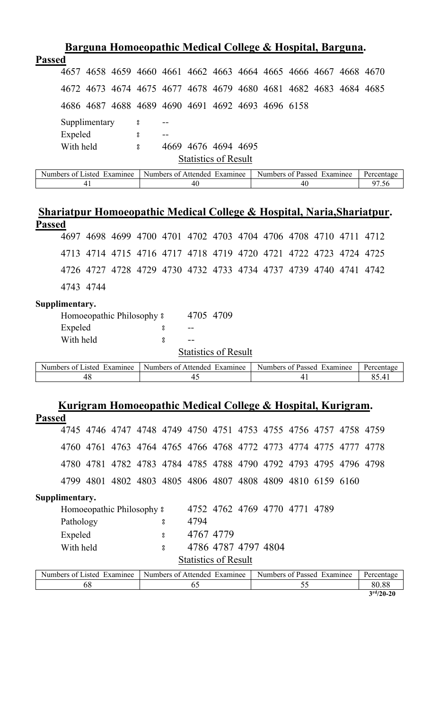| Barguna Homoeopathic Medical College & Hospital, Barguna.        |                                                             |                              |  |                            |  |            |  |
|------------------------------------------------------------------|-------------------------------------------------------------|------------------------------|--|----------------------------|--|------------|--|
| <b>Passed</b>                                                    |                                                             |                              |  |                            |  |            |  |
| 4657                                                             | 4658 4659 4660 4661 4662 4663 4664 4665 4666 4667 4668 4670 |                              |  |                            |  |            |  |
| 4672 4673 4674 4675 4677 4678 4679 4680 4681 4682 4683 4684 4685 |                                                             |                              |  |                            |  |            |  |
| 4686 4687 4688 4689 4690 4691 4692 4693 4696 6158                |                                                             |                              |  |                            |  |            |  |
| Supplimentary                                                    | 8                                                           |                              |  |                            |  |            |  |
| Expeled                                                          | 8<br>$- -$                                                  |                              |  |                            |  |            |  |
| With held                                                        | 8                                                           | 4669 4676 4694 4695          |  |                            |  |            |  |
| <b>Statistics of Result</b>                                      |                                                             |                              |  |                            |  |            |  |
| Numbers of Listed Examinee                                       |                                                             | Numbers of Attended Examinee |  | Numbers of Passed Examinee |  | Percentage |  |

# **Shariatpur Homoeopathic Medical College & Hospital, Naria,Shariatpur. Passed**

41 40 40 40 57.56

|                                                                  | 4697 4698 4699 4700 4701 4702 4703 4704 4706 4708 4710 4711 4712 |  |  |  |  |  |
|------------------------------------------------------------------|------------------------------------------------------------------|--|--|--|--|--|
| 4713 4714 4715 4716 4717 4718 4719 4720 4721 4722 4723 4724 4725 |                                                                  |  |  |  |  |  |
| 4726 4727 4728 4729 4730 4732 4733 4734 4737 4739 4740 4741 4742 |                                                                  |  |  |  |  |  |
| 4743 4744                                                        |                                                                  |  |  |  |  |  |

## **Supplimentary.**

| Homoeopathic Philosophy $\frac{1}{2}$ |                              | 4705 4709 |                             |  |
|---------------------------------------|------------------------------|-----------|-----------------------------|--|
| Expeled                               |                              |           |                             |  |
| With held                             | ႙                            |           |                             |  |
|                                       |                              |           | <b>Statistics of Result</b> |  |
| mbers of Listed Examinee              | Numbers of Attended Examinee |           |                             |  |

| Numbers of       | Examinee    | Examinee     |  |
|------------------|-------------|--------------|--|
| Examinee         | -Numbers of | - Numbers of |  |
| asted.           | Attended    | Passed       |  |
| $+$ $\epsilon$ . |             |              |  |

|               |                            |    |                                       |   | Kurigram Homoeopathic Medical College & Hospital, Kurigram.      |           |                               |    |  |            |
|---------------|----------------------------|----|---------------------------------------|---|------------------------------------------------------------------|-----------|-------------------------------|----|--|------------|
| <b>Passed</b> |                            |    |                                       |   |                                                                  |           |                               |    |  |            |
|               |                            |    |                                       |   | 4745 4746 4747 4748 4749 4750 4751 4753 4755 4756 4757 4758 4759 |           |                               |    |  |            |
|               |                            |    |                                       |   | 4760 4761 4763 4764 4765 4766 4768 4772 4773 4774 4775 4777 4778 |           |                               |    |  |            |
|               |                            |    |                                       |   | 4780 4781 4782 4783 4784 4785 4788 4790 4792 4793 4795 4796 4798 |           |                               |    |  |            |
|               |                            |    |                                       |   | 4799 4801 4802 4803 4805 4806 4807 4808 4809 4810 6159 6160      |           |                               |    |  |            |
|               | Supplimentary.             |    |                                       |   |                                                                  |           |                               |    |  |            |
|               |                            |    | Homoeopathic Philosophy $\frac{1}{2}$ |   |                                                                  |           | 4752 4762 4769 4770 4771 4789 |    |  |            |
|               | Pathology                  |    |                                       | 8 | 4794                                                             |           |                               |    |  |            |
|               | Expeled                    |    |                                       | 8 |                                                                  | 4767 4779 |                               |    |  |            |
|               | With held                  |    |                                       | 8 |                                                                  |           | 4786 4787 4797 4804           |    |  |            |
|               |                            |    |                                       |   | <b>Statistics of Result</b>                                      |           |                               |    |  |            |
|               | Numbers of Listed Examinee |    |                                       |   | Numbers of Attended Examinee                                     |           | Numbers of Passed Examinee    |    |  | Percentage |
|               |                            | 68 |                                       |   | 65                                                               |           |                               | 55 |  | 80.88      |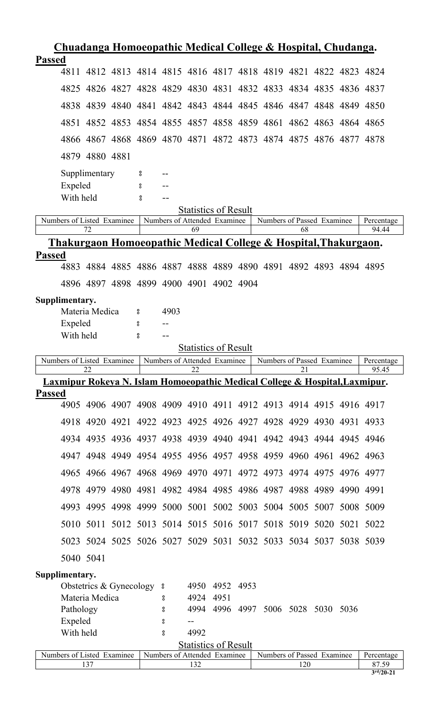| <u>Chuadanga Homoeopathic Medical College &amp; Hospital, Chudanga.</u>                      |                  |                              |                             |                |                                    |    |  |                     |
|----------------------------------------------------------------------------------------------|------------------|------------------------------|-----------------------------|----------------|------------------------------------|----|--|---------------------|
| <b>Passed</b>                                                                                |                  |                              |                             |                |                                    |    |  |                     |
| 4811 4812 4813 4814 4815 4816 4817 4818 4819 4821 4822 4823 4824                             |                  |                              |                             |                |                                    |    |  |                     |
| 4825 4826 4827 4828 4829 4830 4831 4832 4833 4834 4835 4836 4837                             |                  |                              |                             |                |                                    |    |  |                     |
| 4838 4839 4840 4841 4842 4843 4844 4845 4846 4847 4848 4849 4850                             |                  |                              |                             |                |                                    |    |  |                     |
| 4851 4852 4853 4854 4855 4857 4858 4859 4861 4862 4863 4864 4865                             |                  |                              |                             |                |                                    |    |  |                     |
| 4866 4867 4868 4869 4870 4871 4872 4873 4874 4875 4876 4877 4878                             |                  |                              |                             |                |                                    |    |  |                     |
| 4879 4880 4881                                                                               |                  |                              |                             |                |                                    |    |  |                     |
| Supplimentary                                                                                | °                |                              |                             |                |                                    |    |  |                     |
| Expeled                                                                                      | °                |                              |                             |                |                                    |    |  |                     |
| With held                                                                                    | å                |                              |                             |                |                                    |    |  |                     |
|                                                                                              |                  |                              | <b>Statistics of Result</b> |                |                                    |    |  |                     |
| Numbers of Listed Examinee<br>72                                                             |                  | Numbers of Attended Examinee | 69                          |                | Numbers of Passed Examinee         | 68 |  | Percentage<br>94.44 |
| <u>Thakurgaon Homoeopathic Medical College &amp; Hospital, Thakurgaon.</u>                   |                  |                              |                             |                |                                    |    |  |                     |
| <b>Passed</b>                                                                                |                  |                              |                             |                |                                    |    |  |                     |
| 4883 4884 4885 4886 4887 4888 4889 4890 4891 4892 4893 4894 4895                             |                  |                              |                             |                |                                    |    |  |                     |
| 4896 4897 4898 4899 4900 4901 4902 4904                                                      |                  |                              |                             |                |                                    |    |  |                     |
| Supplimentary.                                                                               |                  |                              |                             |                |                                    |    |  |                     |
| Materia Medica                                                                               | $\boldsymbol{S}$ | 4903                         |                             |                |                                    |    |  |                     |
| Expeled                                                                                      | 8                |                              |                             |                |                                    |    |  |                     |
| With held                                                                                    | 8                |                              |                             |                |                                    |    |  |                     |
|                                                                                              |                  |                              | <b>Statistics of Result</b> |                |                                    |    |  |                     |
|                                                                                              |                  |                              |                             |                |                                    |    |  |                     |
| Numbers of Listed Examinee                                                                   |                  | Numbers of Attended Examinee |                             |                | Numbers of Passed Examinee         |    |  | Percentage          |
| 22                                                                                           |                  |                              | 22                          |                |                                    | 21 |  | 95.45               |
| Laxmipur Rokeya N. Islam Homoeopathic Medical College & Hospital, Laxmipur.<br><b>Passed</b> |                  |                              |                             |                |                                    |    |  |                     |
| 4905 4906 4907 4908 4909 4910 4911 4912 4913 4914 4915 4916 4917                             |                  |                              |                             |                |                                    |    |  |                     |
| 4918 4920 4921 4922 4923 4925 4926 4927 4928 4929 4930 4931 4933                             |                  |                              |                             |                |                                    |    |  |                     |
| 4934 4935 4936 4937 4938 4939 4940 4941 4942 4943 4944 4945 4946                             |                  |                              |                             |                |                                    |    |  |                     |
| 4947 4948 4949 4954 4955 4956 4957 4958 4959 4960 4961 4962 4963                             |                  |                              |                             |                |                                    |    |  |                     |
| 4965 4966 4967 4968 4969 4970 4971 4972 4973 4974 4975 4976 4977                             |                  |                              |                             |                |                                    |    |  |                     |
| 4978 4979 4980 4981 4982 4984 4985 4986 4987 4988 4989 4990 4991                             |                  |                              |                             |                |                                    |    |  |                     |
| 4993 4995 4998 4999 5000 5001 5002 5003 5004 5005 5007 5008 5009                             |                  |                              |                             |                |                                    |    |  |                     |
| 5010 5011 5012 5013 5014 5015 5016 5017 5018 5019 5020 5021 5022                             |                  |                              |                             |                |                                    |    |  |                     |
| 5023 5024 5025 5026 5027 5029 5031 5032 5033 5034 5037 5038 5039                             |                  |                              |                             |                |                                    |    |  |                     |
| 5040 5041                                                                                    |                  |                              |                             |                |                                    |    |  |                     |
| Supplimentary.                                                                               |                  |                              |                             |                |                                    |    |  |                     |
| Obstetrics & Gynecology 8                                                                    |                  |                              |                             | 4950 4952 4953 |                                    |    |  |                     |
| Materia Medica                                                                               |                  | 8                            | 4924                        | 4951           |                                    |    |  |                     |
| Pathology                                                                                    |                  | 8                            |                             |                | 4994 4996 4997 5006 5028 5030 5036 |    |  |                     |
| Expeled                                                                                      |                  | °                            |                             |                |                                    |    |  |                     |
| With held                                                                                    |                  | $_{\rm 8}^{\rm o}$           | 4992                        |                |                                    |    |  |                     |
| Numbers of Listed Examinee                                                                   |                  | Numbers of Attended Examinee | <b>Statistics of Result</b> |                | Numbers of Passed Examinee         |    |  | Percentage          |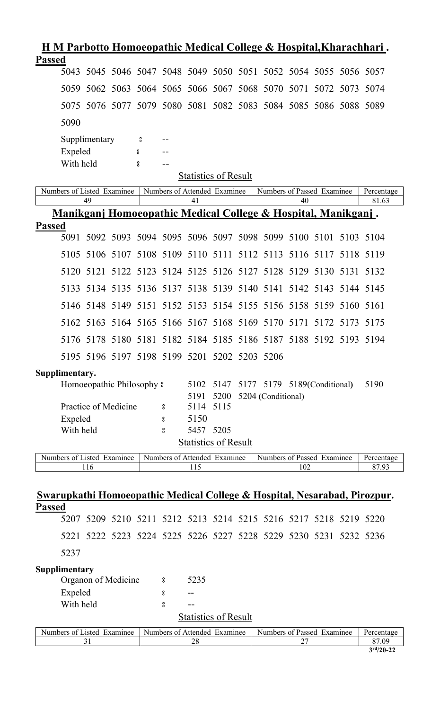| <u> H M Parbotto Homoeopathic Medical College &amp; Hospital, Kharachhari.</u> |           |               |                           |        |          |                                     |  |                                                                  |                     |           |                     |
|--------------------------------------------------------------------------------|-----------|---------------|---------------------------|--------|----------|-------------------------------------|--|------------------------------------------------------------------|---------------------|-----------|---------------------|
| <b>Passed</b>                                                                  |           |               |                           |        |          |                                     |  | 5043 5045 5046 5047 5048 5049 5050 5051 5052 5054 5055 5056 5057 |                     |           |                     |
|                                                                                | 5059      |               |                           |        |          |                                     |  | 5062 5063 5064 5065 5066 5067 5068 5070 5071 5072 5073 5074      |                     |           |                     |
|                                                                                | 5075      |               |                           |        |          |                                     |  | 5076 5077 5079 5080 5081 5082 5083 5084 5085 5086 5088 5089      |                     |           |                     |
|                                                                                |           |               |                           |        |          |                                     |  |                                                                  |                     |           |                     |
|                                                                                | 5090      |               |                           |        |          |                                     |  |                                                                  |                     |           |                     |
|                                                                                | Expeled   | Supplimentary |                           | 8<br>° |          |                                     |  |                                                                  |                     |           |                     |
|                                                                                | With held |               |                           | 8      | $- -$    |                                     |  |                                                                  |                     |           |                     |
|                                                                                |           |               |                           |        |          | <b>Statistics of Result</b>         |  |                                                                  |                     |           |                     |
| Numbers of Listed Examinee                                                     |           | 49            |                           |        |          | Numbers of Attended Examinee<br>41  |  | Numbers of Passed Examinee                                       | 40                  |           | Percentage<br>81.63 |
|                                                                                |           |               |                           |        |          |                                     |  | Manikganj Homoeopathic Medical College & Hospital, Manikganj.    |                     |           |                     |
| <b>Passed</b>                                                                  |           |               |                           |        |          |                                     |  |                                                                  |                     |           |                     |
|                                                                                | 5091      |               |                           |        |          |                                     |  | 5092 5093 5094 5095 5096 5097 5098 5099 5100 5101 5103 5104      |                     |           |                     |
|                                                                                | 5105      | 5106          |                           |        |          |                                     |  | 5107 5108 5109 5110 5111 5112 5113                               | 5116 5117 5118 5119 |           |                     |
|                                                                                | 5120      | 5121          |                           |        |          |                                     |  | 5122 5123 5124 5125 5126 5127 5128 5129 5130 5131 5132           |                     |           |                     |
|                                                                                | 5133      |               |                           |        |          |                                     |  | 5134 5135 5136 5137 5138 5139 5140 5141                          | 5142 5143 5144 5145 |           |                     |
|                                                                                |           |               |                           |        |          |                                     |  | 5146 5148 5149 5151 5152 5153 5154 5155 5156 5158 5159 5160 5161 |                     |           |                     |
|                                                                                |           | 5162 5163     |                           |        |          |                                     |  | 5164 5165 5166 5167 5168 5169 5170                               | 5171                | 5172 5173 | 5175                |
|                                                                                |           |               |                           |        |          |                                     |  | 5176 5178 5180 5181 5182 5184 5185 5186 5187 5188 5192 5193 5194 |                     |           |                     |
|                                                                                |           |               |                           |        |          |                                     |  | 5195 5196 5197 5198 5199 5201 5202 5203 5206                     |                     |           |                     |
| Supplimentary.                                                                 |           |               |                           |        |          |                                     |  |                                                                  |                     |           |                     |
|                                                                                |           |               | Homoeopathic Philosophy 8 |        |          |                                     |  | 5102 5147 5177 5179 5189(Conditional)                            |                     |           | 5190                |
|                                                                                |           |               | Practice of Medicine      |        | 8        | 5191<br>5114 5115                   |  | 5200 5204 (Conditional)                                          |                     |           |                     |
|                                                                                | Expeled   |               |                           |        | °        | 5150                                |  |                                                                  |                     |           |                     |
|                                                                                | With held |               |                           |        | 8        | 5457 5205                           |  |                                                                  |                     |           |                     |
|                                                                                |           |               |                           |        |          | <b>Statistics of Result</b>         |  |                                                                  |                     |           |                     |
| Numbers of Listed Examinee                                                     |           | 116           |                           |        |          | Numbers of Attended Examinee<br>115 |  | Numbers of Passed Examinee                                       | 102                 |           | Percentage<br>87.93 |
|                                                                                |           |               |                           |        |          |                                     |  |                                                                  |                     |           |                     |
| Swarupkathi Homoeopathic Medical College & Hospital, Nesarabad, Pirozpur.      |           |               |                           |        |          |                                     |  |                                                                  |                     |           |                     |
| <b>Passed</b>                                                                  |           |               |                           |        |          |                                     |  |                                                                  |                     |           |                     |
|                                                                                |           |               |                           |        |          |                                     |  | 5207 5209 5210 5211 5212 5213 5214 5215 5216 5217 5218 5219 5220 |                     |           |                     |
|                                                                                |           |               |                           |        |          |                                     |  | 5221 5222 5223 5224 5225 5226 5227 5228 5229 5230 5231 5232 5236 |                     |           |                     |
| 5237                                                                           |           |               |                           |        |          |                                     |  |                                                                  |                     |           |                     |
| Supplimentary                                                                  |           |               | Organon of Medicine       |        | $\rm ^o$ | 5235                                |  |                                                                  |                     |           |                     |
|                                                                                | Expeled   |               |                           |        | 8        |                                     |  |                                                                  |                     |           |                     |
|                                                                                | With held |               |                           |        | 8        |                                     |  |                                                                  |                     |           |                     |
|                                                                                |           |               |                           |        |          | <b>Statistics of Result</b>         |  |                                                                  |                     |           |                     |
| Numbers of Listed Examinee                                                     |           | 31            |                           |        |          | Numbers of Attended Examinee<br>28  |  | Numbers of Passed Examinee                                       | 27                  |           | Percentage<br>87.09 |
|                                                                                |           |               |                           |        |          |                                     |  |                                                                  |                     |           |                     |

**<sup>3</sup> rd/20-22**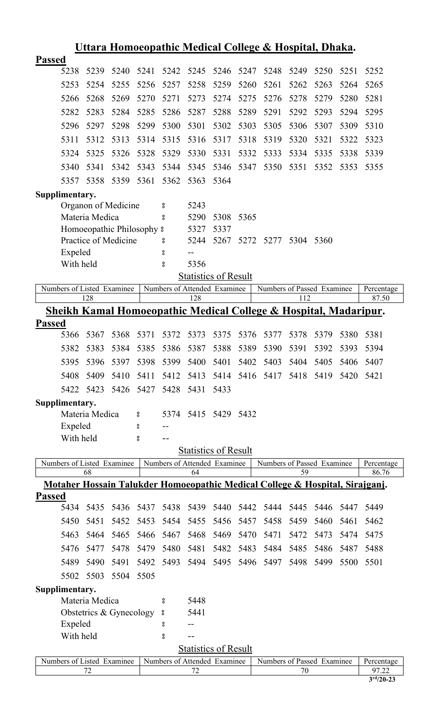|                                                                              | Uttara Homoeopathic Medical College & Hospital, Dhaka.                      |      |      |                    |                              |      |      |                            |      |      |      |            |
|------------------------------------------------------------------------------|-----------------------------------------------------------------------------|------|------|--------------------|------------------------------|------|------|----------------------------|------|------|------|------------|
| <b>Passed</b>                                                                |                                                                             |      |      |                    |                              |      |      |                            |      |      |      |            |
| 5238                                                                         | 5239                                                                        | 5240 | 5241 | 5242               | 5245                         | 5246 | 5247 | 5248                       | 5249 | 5250 | 5251 | 5252       |
| 5253                                                                         | 5254                                                                        | 5255 | 5256 | 5257               | 5258                         | 5259 | 5260 | 5261                       | 5262 | 5263 | 5264 | 5265       |
| 5266                                                                         | 5268                                                                        | 5269 | 5270 | 5271               | 5273                         | 5274 | 5275 | 5276                       | 5278 | 5279 | 5280 | 5281       |
| 5282                                                                         | 5283                                                                        | 5284 | 5285 | 5286               | 5287                         | 5288 | 5289 | 5291                       | 5292 | 5293 | 5294 | 5295       |
| 5296                                                                         | 5297                                                                        | 5298 | 5299 | 5300               | 5301                         | 5302 | 5303 | 5305                       | 5306 | 5307 | 5309 | 5310       |
| 5311                                                                         | 5312                                                                        | 5313 | 5314 | 5315               | 5316                         | 5317 | 5318 | 5319                       | 5320 | 5321 | 5322 | 5323       |
| 5324                                                                         | 5325                                                                        | 5326 | 5328 | 5329               | 5330                         | 5331 | 5332 | 5333                       | 5334 | 5335 | 5338 | 5339       |
| 5340                                                                         | 5341                                                                        | 5342 | 5343 | 5344               | 5345                         | 5346 | 5347 | 5350                       | 5351 | 5352 | 5353 | 5355       |
| 5357                                                                         | 5358                                                                        | 5359 | 5361 | 5362               | 5363                         | 5364 |      |                            |      |      |      |            |
| Supplimentary.                                                               |                                                                             |      |      |                    |                              |      |      |                            |      |      |      |            |
|                                                                              | Organon of Medicine                                                         |      |      | 8                  | 5243                         |      |      |                            |      |      |      |            |
|                                                                              | Materia Medica                                                              |      |      | 8                  | 5290                         | 5308 | 5365 |                            |      |      |      |            |
|                                                                              | Homoeopathic Philosophy 8                                                   |      |      |                    | 5327                         | 5337 |      |                            |      |      |      |            |
|                                                                              | Practice of Medicine                                                        |      |      | °                  | 5244                         | 5267 | 5272 | 5277                       | 5304 | 5360 |      |            |
|                                                                              | Expeled                                                                     |      |      | °                  | $-1$                         |      |      |                            |      |      |      |            |
|                                                                              | With held                                                                   |      |      | $_{\rm o}^{\rm o}$ | 5356                         |      |      |                            |      |      |      |            |
|                                                                              |                                                                             |      |      |                    | <b>Statistics of Result</b>  |      |      |                            |      |      |      |            |
| Numbers of Listed Examinee                                                   |                                                                             |      |      |                    | Numbers of Attended Examinee |      |      | Numbers of Passed Examinee |      |      |      | Percentage |
|                                                                              | 128                                                                         |      |      |                    | 128                          |      |      |                            | 112  |      |      | 87.50      |
|                                                                              | <u>Sheikh Kamal Homoeopathic Medical College &amp; Hospital, Madaripur.</u> |      |      |                    |                              |      |      |                            |      |      |      |            |
| <b>Passed</b>                                                                |                                                                             |      |      |                    |                              |      |      |                            |      |      |      |            |
| 5366                                                                         | 5367                                                                        | 5368 | 5371 | 5372               | 5373                         | 5375 | 5376 | 5377                       | 5378 | 5379 | 5380 | 5381       |
| 5382                                                                         | 5383                                                                        | 5384 | 5385 | 5386               | 5387                         | 5388 | 5389 | 5390                       | 5391 | 5392 | 5393 | 5394       |
| 5395                                                                         | 5396                                                                        | 5397 | 5398 | 5399               | 5400                         | 5401 | 5402 | 5403                       | 5404 | 5405 | 5406 | 5407       |
| 5408                                                                         | 5409                                                                        | 5410 | 5411 | 5412               | 5413                         | 5414 |      | 5416 5417                  | 5418 | 5419 | 5420 | 5421       |
| 5422                                                                         | 5423                                                                        | 5426 | 5427 | 5428               | 5431                         | 5433 |      |                            |      |      |      |            |
| Supplimentary.                                                               |                                                                             |      |      |                    |                              |      |      |                            |      |      |      |            |
|                                                                              | Materia Medica                                                              |      | 8    |                    | 5374 5415 5429               |      | 5432 |                            |      |      |      |            |
|                                                                              | Expeled                                                                     |      | 8    |                    |                              |      |      |                            |      |      |      |            |
|                                                                              | With held                                                                   |      | 8    | $-$                |                              |      |      |                            |      |      |      |            |
|                                                                              |                                                                             |      |      |                    | <b>Statistics of Result</b>  |      |      |                            |      |      |      |            |
| Numbers of Listed Examinee                                                   |                                                                             |      |      |                    | Numbers of Attended Examinee |      |      | Numbers of Passed Examinee |      |      |      | Percentage |
|                                                                              | 68                                                                          |      |      |                    | 64                           |      |      |                            | 59   |      |      | 86.76      |
| Motaher Hossain Talukder Homoeopathic Medical College & Hospital, Sirajganj. |                                                                             |      |      |                    |                              |      |      |                            |      |      |      |            |
| <b>Passed</b>                                                                |                                                                             |      |      |                    |                              |      |      |                            |      |      |      |            |
| 5434                                                                         | 5435                                                                        | 5436 | 5437 | 5438               | 5439                         | 5440 | 5442 | 5444                       | 5445 | 5446 | 5447 | 5449       |
| 5450                                                                         | 5451                                                                        | 5452 | 5453 | 5454               | 5455                         | 5456 | 5457 | 5458                       | 5459 | 5460 | 5461 | 5462       |
| 5463                                                                         | 5464                                                                        | 5465 | 5466 | 5467               | 5468                         | 5469 | 5470 | 5471                       | 5472 | 5473 | 5474 | 5475       |
| 5476                                                                         | 5477                                                                        | 5478 | 5479 | 5480               | 5481                         | 5482 | 5483 | 5484                       | 5485 | 5486 | 5487 | 5488       |
| 5489                                                                         | 5490                                                                        | 5491 | 5492 | 5493               | 5494                         | 5495 | 5496 | 5497                       | 5498 | 5499 | 5500 | 5501       |
| 5502                                                                         | 5503                                                                        | 5504 | 5505 |                    |                              |      |      |                            |      |      |      |            |
| Supplimentary.                                                               |                                                                             |      |      |                    |                              |      |      |                            |      |      |      |            |
|                                                                              | Materia Medica                                                              |      |      | 8                  | 5448                         |      |      |                            |      |      |      |            |
|                                                                              | Obstetrics & Gynecology                                                     |      |      | $\rm ^o$           | 5441                         |      |      |                            |      |      |      |            |
|                                                                              | Expeled                                                                     |      |      | 8                  | $-1$                         |      |      |                            |      |      |      |            |
|                                                                              | With held                                                                   |      |      | °                  |                              |      |      |                            |      |      |      |            |
|                                                                              |                                                                             |      |      |                    | <b>Statistics of Result</b>  |      |      |                            |      |      |      |            |
| Numbers of Listed Examinee                                                   |                                                                             |      |      |                    | Numbers of Attended Examinee |      |      | Numbers of Passed Examinee |      |      |      | Percentage |

### 72 72 70 97.22 **3 rd/20-23**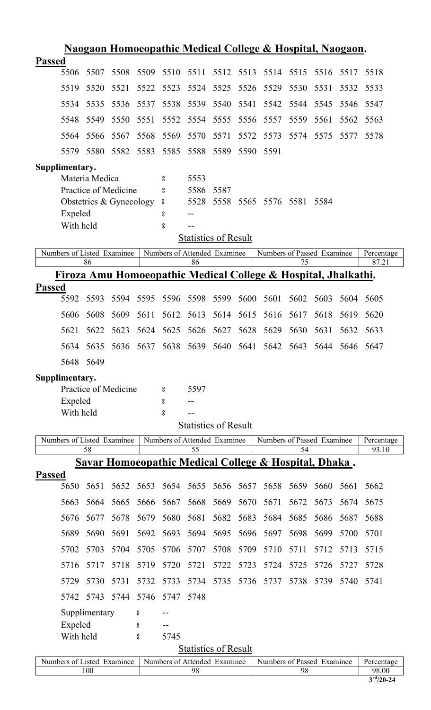|               |                            |                |                         |           |                 |           |                                                             |      | Naogaon Homoeopathic Medical College & Hospital, Naogaon.                 |           |                |      |                     |
|---------------|----------------------------|----------------|-------------------------|-----------|-----------------|-----------|-------------------------------------------------------------|------|---------------------------------------------------------------------------|-----------|----------------|------|---------------------|
| <b>Passed</b> |                            |                |                         |           |                 |           |                                                             |      |                                                                           |           |                |      |                     |
|               | 5506                       | 5507           | 5508                    | 5509      | 5510            | 5511      | 5512 5513                                                   |      | 5514                                                                      | 5515      | 5516           | 5517 | 5518                |
|               | 5519                       | 5520           | 5521                    | 5522      | 5523            | 5524      | 5525                                                        | 5526 | 5529                                                                      | 5530      | 5531           | 5532 | 5533                |
|               | 5534                       | 5535           | 5536                    | 5537      | 5538            | 5539      | 5540                                                        | 5541 | 5542                                                                      | 5544      | 5545           | 5546 | 5547                |
|               | 5548                       | 5549           | 5550                    | 5551      | 5552            | 5554      | 5555                                                        | 5556 | 5557                                                                      | 5559      | 5561           | 5562 | 5563                |
|               | 5564                       | 5566           | 5567                    | 5568      | 5569            | 5570      | 5571                                                        | 5572 | 5573                                                                      | 5574      | 5575           | 5577 | 5578                |
|               | 5579                       | 5580           |                         | 5582 5583 | 5585            | 5588 5589 |                                                             |      | 5590 5591                                                                 |           |                |      |                     |
|               | Supplimentary.             |                |                         |           |                 |           |                                                             |      |                                                                           |           |                |      |                     |
|               |                            | Materia Medica |                         |           | $\rm ^o$        | 5553      |                                                             |      |                                                                           |           |                |      |                     |
|               |                            |                | Practice of Medicine    |           | $\rm ^o$        | 5586      | 5587<br>5528 5558                                           |      | 5565 5576                                                                 | 5581 5584 |                |      |                     |
|               | Expeled                    |                | Obstetrics & Gynecology |           | $\rm ^{o}$<br>° |           |                                                             |      |                                                                           |           |                |      |                     |
|               | With held                  |                |                         |           | 8               |           |                                                             |      |                                                                           |           |                |      |                     |
|               |                            |                |                         |           |                 |           | <b>Statistics of Result</b>                                 |      |                                                                           |           |                |      |                     |
|               | Numbers of Listed Examinee |                |                         |           |                 |           | Numbers of Attended Examinee                                |      | Numbers of Passed Examinee                                                |           |                |      | Percentage          |
|               |                            | 86             |                         |           |                 | 86        |                                                             |      | <u>Firoza Amu Homoeopathic Medical College &amp; Hospital, Jhalkathi.</u> | 75        |                |      | 87.21               |
| <b>Passed</b> |                            |                |                         |           |                 |           |                                                             |      |                                                                           |           |                |      |                     |
|               | 5592                       | 5593           | 5594                    | 5595      |                 |           | 5596 5598 5599                                              | 5600 | 5601                                                                      | 5602      | 5603           | 5604 | 5605                |
|               | 5606                       | 5608           | 5609                    | 5611      | 5612            | 5613      | 5614                                                        | 5615 | 5616                                                                      | 5617      | 5618           | 5619 | 5620                |
|               | 5621                       | 5622           | 5623                    |           |                 |           |                                                             |      | 5624 5625 5626 5627 5628 5629                                             | 5630      | 5631           |      | 5632 5633           |
|               | 5634                       | 5635           |                         | 5636 5637 |                 |           |                                                             |      | 5638 5639 5640 5641 5642                                                  | 5643      | 5644 5646 5647 |      |                     |
|               |                            | 5648 5649      |                         |           |                 |           |                                                             |      |                                                                           |           |                |      |                     |
|               | Supplimentary.             |                |                         |           |                 |           |                                                             |      |                                                                           |           |                |      |                     |
|               |                            |                | Practice of Medicine    |           | °               | 5597      |                                                             |      |                                                                           |           |                |      |                     |
|               | Expeled<br>With held       |                |                         |           | 8<br>°          |           |                                                             |      |                                                                           |           |                |      |                     |
|               |                            |                |                         |           |                 |           | <b>Statistics of Result</b>                                 |      |                                                                           |           |                |      |                     |
|               | Numbers of Listed Examinee |                |                         |           |                 |           | Numbers of Attended Examinee                                |      | Numbers of Passed Examinee                                                |           |                |      | Percentage          |
|               |                            | 58             |                         |           |                 | 55        |                                                             |      |                                                                           | 54        |                |      | 93.10               |
| <b>Passed</b> |                            |                |                         |           |                 |           |                                                             |      | Savar Homoeopathic Medical College & Hospital, Dhaka.                     |           |                |      |                     |
|               | 5650                       | 5651           | 5652                    | 5653      | 5654            | 5655      | 5656                                                        | 5657 | 5658                                                                      | 5659      | 5660           | 5661 | 5662                |
|               | 5663                       | 5664           | 5665                    | 5666      | 5667            | 5668      | 5669                                                        | 5670 | 5671                                                                      | 5672      | 5673           | 5674 | 5675                |
|               | 5676                       | 5677           | 5678                    | 5679      | 5680            | 5681      | 5682                                                        | 5683 | 5684                                                                      | 5685      | 5686           | 5687 | 5688                |
|               | 5689                       | 5690           | 5691                    | 5692      | 5693            | 5694      | 5695                                                        | 5696 | 5697                                                                      | 5698      | 5699           | 5700 | 5701                |
|               | 5702                       | 5703           | 5704                    | 5705      | 5706            | 5707      | 5708                                                        | 5709 | 5710                                                                      | 5711      | 5712           | 5713 | 5715                |
|               | 5716                       | 5717           | 5718                    | 5719      | 5720            | 5721      | 5722                                                        | 5723 | 5724                                                                      | 5725      | 5726           | 5727 | 5728                |
|               | 5729                       | 5730           | 5731                    | 5732      | 5733            | 5734      | 5735                                                        |      | 5736 5737                                                                 | 5738      | 5739           | 5740 | 5741                |
|               | 5742                       | 5743           | 5744                    | 5746      | 5747            | 5748      |                                                             |      |                                                                           |           |                |      |                     |
|               |                            | Supplimentary  |                         | °         |                 |           |                                                             |      |                                                                           |           |                |      |                     |
|               | Expeled                    |                |                         | 8         |                 |           |                                                             |      |                                                                           |           |                |      |                     |
|               | With held                  |                |                         | 8         | 5745            |           |                                                             |      |                                                                           |           |                |      |                     |
|               | Numbers of Listed Examinee |                |                         |           |                 |           | <b>Statistics of Result</b><br>Numbers of Attended Examinee |      | Numbers of Passed Examinee                                                |           |                |      |                     |
|               |                            | 100            |                         |           |                 | 98        |                                                             |      |                                                                           | 98        |                |      | Percentage<br>98.00 |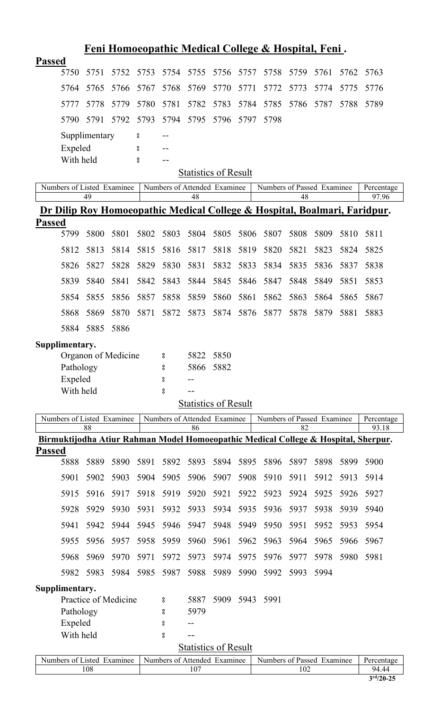|               |                |               |                            |      |      |      |                              |      | <u>Feni Homoeopathic Medical College &amp; Hospital, Feni.</u> |      |      |      |                                                                                      |
|---------------|----------------|---------------|----------------------------|------|------|------|------------------------------|------|----------------------------------------------------------------|------|------|------|--------------------------------------------------------------------------------------|
| <b>Passed</b> |                |               |                            |      |      |      |                              |      |                                                                |      |      |      |                                                                                      |
|               | 5750           | 5751          | 5752                       | 5753 | 5754 | 5755 | 5756                         | 5757 | 5758                                                           | 5759 | 5761 | 5762 | 5763                                                                                 |
|               | 5764           | 5765          | 5766                       | 5767 | 5768 | 5769 | 5770                         | 5771 | 5772                                                           | 5773 | 5774 | 5775 | 5776                                                                                 |
|               | 5777           | 5778          | 5779                       | 5780 | 5781 | 5782 | 5783                         | 5784 | 5785                                                           | 5786 | 5787 | 5788 | 5789                                                                                 |
|               | 5790           | 5791          | 5792                       | 5793 | 5794 | 5795 | 5796                         | 5797 | 5798                                                           |      |      |      |                                                                                      |
|               |                | Supplimentary |                            | 8    |      |      |                              |      |                                                                |      |      |      |                                                                                      |
|               | Expeled        |               |                            | ိ    |      |      |                              |      |                                                                |      |      |      |                                                                                      |
|               | With held      |               |                            | ိ    | $-$  |      | <b>Statistics of Result</b>  |      |                                                                |      |      |      |                                                                                      |
|               |                |               | Numbers of Listed Examinee |      |      |      | Numbers of Attended Examinee |      | Numbers of Passed Examinee                                     |      |      |      | Percentage                                                                           |
|               |                | 49            |                            |      |      | 48   |                              |      |                                                                | 48   |      |      | 97.96                                                                                |
|               |                |               |                            |      |      |      |                              |      |                                                                |      |      |      | <u>Dr Dilip Roy Homoeopathic Medical College &amp; Hospital, Boalmari, Faridpur.</u> |
| <b>Passed</b> |                |               |                            |      |      |      |                              |      |                                                                |      |      |      |                                                                                      |
|               | 5799           | 5800          | 5801                       | 5802 | 5803 | 5804 | 5805                         | 5806 | 5807                                                           | 5808 | 5809 | 5810 | 5811                                                                                 |
|               | 5812           | 5813          | 5814                       | 5815 | 5816 | 5817 | 5818                         | 5819 | 5820                                                           | 5821 | 5823 | 5824 | 5825                                                                                 |
|               | 5826           | 5827          | 5828                       | 5829 | 5830 | 5831 | 5832                         | 5833 | 5834                                                           | 5835 | 5836 | 5837 | 5838                                                                                 |
|               | 5839           | 5840          | 5841                       | 5842 | 5843 | 5844 | 5845                         | 5846 | 5847                                                           | 5848 | 5849 | 5851 | 5853                                                                                 |
|               | 5854           | 5855          | 5856                       | 5857 | 5858 | 5859 | 5860                         | 5861 | 5862                                                           | 5863 | 5864 | 5865 | 5867                                                                                 |
|               | 5868           | 5869          | 5870                       | 5871 | 5872 | 5873 | 5874                         | 5876 | 5877                                                           | 5878 | 5879 | 5881 | 5883                                                                                 |
|               | 5884           | 5885          | 5886                       |      |      |      |                              |      |                                                                |      |      |      |                                                                                      |
|               | Supplimentary. |               |                            |      |      |      |                              |      |                                                                |      |      |      |                                                                                      |
|               |                |               | Organon of Medicine        |      | °    | 5822 | 5850                         |      |                                                                |      |      |      |                                                                                      |
|               | Pathology      |               |                            |      | 8    | 5866 | 5882                         |      |                                                                |      |      |      |                                                                                      |
|               | Expeled        |               |                            |      | °    |      |                              |      |                                                                |      |      |      |                                                                                      |
|               | With held      |               |                            |      | 8    |      |                              |      |                                                                |      |      |      |                                                                                      |
|               |                |               |                            |      |      |      | <b>Statistics of Result</b>  |      |                                                                |      |      |      |                                                                                      |
|               |                | 88            | Numbers of Listed Examinee |      |      | 86   | Numbers of Attended Examinee |      | Numbers of Passed Examinee                                     | 82   |      |      | Percentage<br>93.18                                                                  |
|               |                |               |                            |      |      |      |                              |      |                                                                |      |      |      | Birmuktijodha Atiur Rahman Model Homoeopathic Medical College & Hospital, Sherpur.   |
| <b>Passed</b> |                |               |                            |      |      |      |                              |      |                                                                |      |      |      |                                                                                      |
|               | 5888           | 5889          | 5890                       | 5891 | 5892 | 5893 | 5894                         | 5895 | 5896                                                           | 5897 | 5898 | 5899 | 5900                                                                                 |
|               | 5901           | 5902          | 5903                       | 5904 | 5905 | 5906 | 5907                         | 5908 | 5910                                                           | 5911 | 5912 | 5913 | 5914                                                                                 |
|               | 5915           | 5916          | 5917                       | 5918 | 5919 | 5920 | 5921                         | 5922 | 5923                                                           | 5924 | 5925 | 5926 | 5927                                                                                 |
|               | 5928           | 5929          | 5930                       | 5931 | 5932 | 5933 | 5934                         | 5935 | 5936                                                           | 5937 | 5938 | 5939 | 5940                                                                                 |
|               | 5941           | 5942          | 5944                       | 5945 | 5946 | 5947 | 5948                         | 5949 | 5950                                                           | 5951 | 5952 | 5953 | 5954                                                                                 |
|               | 5955           | 5956          | 5957                       | 5958 | 5959 | 5960 | 5961                         | 5962 | 5963                                                           | 5964 | 5965 | 5966 | 5967                                                                                 |
|               | 5968           | 5969          | 5970                       | 5971 | 5972 | 5973 | 5974                         | 5975 | 5976                                                           | 5977 | 5978 | 5980 | 5981                                                                                 |
|               | 5982           | 5983          | 5984                       | 5985 | 5987 | 5988 | 5989                         | 5990 | 5992                                                           | 5993 | 5994 |      |                                                                                      |
|               | Supplimentary. |               |                            |      |      |      |                              |      |                                                                |      |      |      |                                                                                      |
|               |                |               | Practice of Medicine       |      | 8    | 5887 | 5909                         | 5943 | 5991                                                           |      |      |      |                                                                                      |
|               | Pathology      |               |                            |      | 8    | 5979 |                              |      |                                                                |      |      |      |                                                                                      |
|               | Expeled        |               |                            |      | 8    |      |                              |      |                                                                |      |      |      |                                                                                      |
|               | With held      |               |                            |      | 8    |      |                              |      |                                                                |      |      |      |                                                                                      |
|               |                |               |                            |      |      |      | <b>Statistics of Result</b>  |      |                                                                |      |      |      |                                                                                      |
|               |                | 108           | Numbers of Listed Examinee |      |      | 107  | Numbers of Attended Examinee |      | Numbers of Passed Examinee                                     | 102  |      |      | Percentage<br>94.44                                                                  |
|               |                |               |                            |      |      |      |                              |      |                                                                |      |      |      |                                                                                      |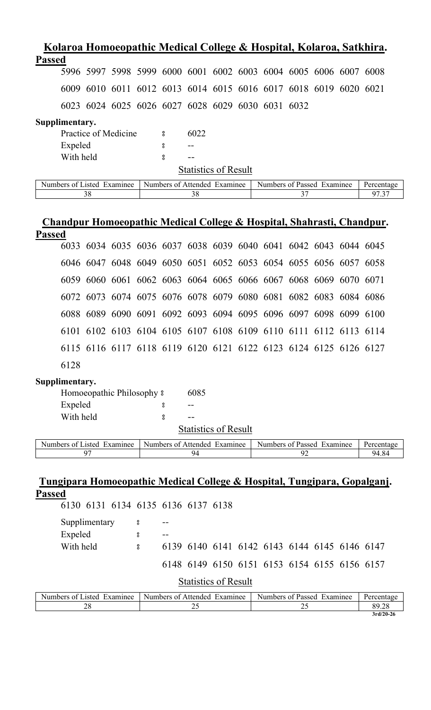| Kolaroa Homoeopathic Medical College & Hospital, Kolaroa, Satkhira. |    |                      |                                                                  |      |                             |                            |    |  |            |
|---------------------------------------------------------------------|----|----------------------|------------------------------------------------------------------|------|-----------------------------|----------------------------|----|--|------------|
| <b>Passed</b>                                                       |    |                      |                                                                  |      |                             |                            |    |  |            |
|                                                                     |    |                      | 5996 5997 5998 5999 6000 6001 6002 6003 6004 6005 6006 6007 6008 |      |                             |                            |    |  |            |
| 6009                                                                |    |                      | 6010 6011 6012 6013 6014 6015 6016 6017 6018 6019 6020 6021      |      |                             |                            |    |  |            |
|                                                                     |    |                      | 6023 6024 6025 6026 6027 6028 6029 6030 6031 6032                |      |                             |                            |    |  |            |
| Supplimentary.                                                      |    |                      |                                                                  |      |                             |                            |    |  |            |
|                                                                     |    | Practice of Medicine | 8                                                                | 6022 |                             |                            |    |  |            |
| Expeled                                                             |    |                      | 8                                                                |      |                             |                            |    |  |            |
| With held                                                           |    |                      | 8                                                                |      |                             |                            |    |  |            |
|                                                                     |    |                      |                                                                  |      | <b>Statistics of Result</b> |                            |    |  |            |
| Numbers of Listed Examinee                                          |    |                      | Numbers of Attended Examinee                                     |      |                             | Numbers of Passed Examinee |    |  | Percentage |
|                                                                     | 38 |                      |                                                                  | 38   |                             |                            | 37 |  | 97.37      |

## **Chandpur Homoeopathic Medical College & Hospital, Shahrasti, Chandpur. Passed**

|      |  |  |  | 6033 6034 6035 6036 6037 6038 6039 6040 6041 6042 6043 6044 6045 |  |  |  |
|------|--|--|--|------------------------------------------------------------------|--|--|--|
|      |  |  |  | 6046 6047 6048 6049 6050 6051 6052 6053 6054 6055 6056 6057 6058 |  |  |  |
|      |  |  |  | 6059 6060 6061 6062 6063 6064 6065 6066 6067 6068 6069 6070 6071 |  |  |  |
|      |  |  |  | 6072 6073 6074 6075 6076 6078 6079 6080 6081 6082 6083 6084 6086 |  |  |  |
|      |  |  |  | 6088 6089 6090 6091 6092 6093 6094 6095 6096 6097 6098 6099 6100 |  |  |  |
|      |  |  |  | 6101 6102 6103 6104 6105 6107 6108 6109 6110 6111 6112 6113 6114 |  |  |  |
|      |  |  |  | 6115 6116 6117 6118 6119 6120 6121 6122 6123 6124 6125 6126 6127 |  |  |  |
| 6128 |  |  |  |                                                                  |  |  |  |

### **Supplimentary.**

| Homoeopathic Philosophy $\frac{1}{2}$ | 6085                        |  |
|---------------------------------------|-----------------------------|--|
| Expeled                               |                             |  |
| With held                             |                             |  |
|                                       | <b>Statistics of Result</b> |  |

| $\sim$ $\sim$<br>Examinee<br>asted.<br>Numbers<br>$\Omega$ | Examinee<br>Numbers of<br>Affended | Numbers<br>Examinee<br>. ot<br>Passed | Percentage |
|------------------------------------------------------------|------------------------------------|---------------------------------------|------------|
|                                                            |                                    |                                       | 4.84<br>94 |

## **Tungipara Homoeopathic Medical College & Hospital, Tungipara, Gopalganj. Passed**

| 6130 6131 6134 6135 6136 6137 6138 |                                              |                            |    |  |            |
|------------------------------------|----------------------------------------------|----------------------------|----|--|------------|
|                                    |                                              |                            |    |  |            |
| Supplimentary<br>8                 |                                              |                            |    |  |            |
| Expeled<br>8                       |                                              |                            |    |  |            |
| With held<br>8                     | 6139 6140 6141 6142 6143 6144 6145 6146 6147 |                            |    |  |            |
|                                    | 6148 6149 6150 6151 6153 6154 6155 6156 6157 |                            |    |  |            |
|                                    | <b>Statistics of Result</b>                  |                            |    |  |            |
| Numbers of Listed Examinee         | Numbers of Attended Examinee                 | Numbers of Passed Examinee |    |  | Percentage |
| 28                                 | 25                                           |                            | 25 |  | 89.28      |